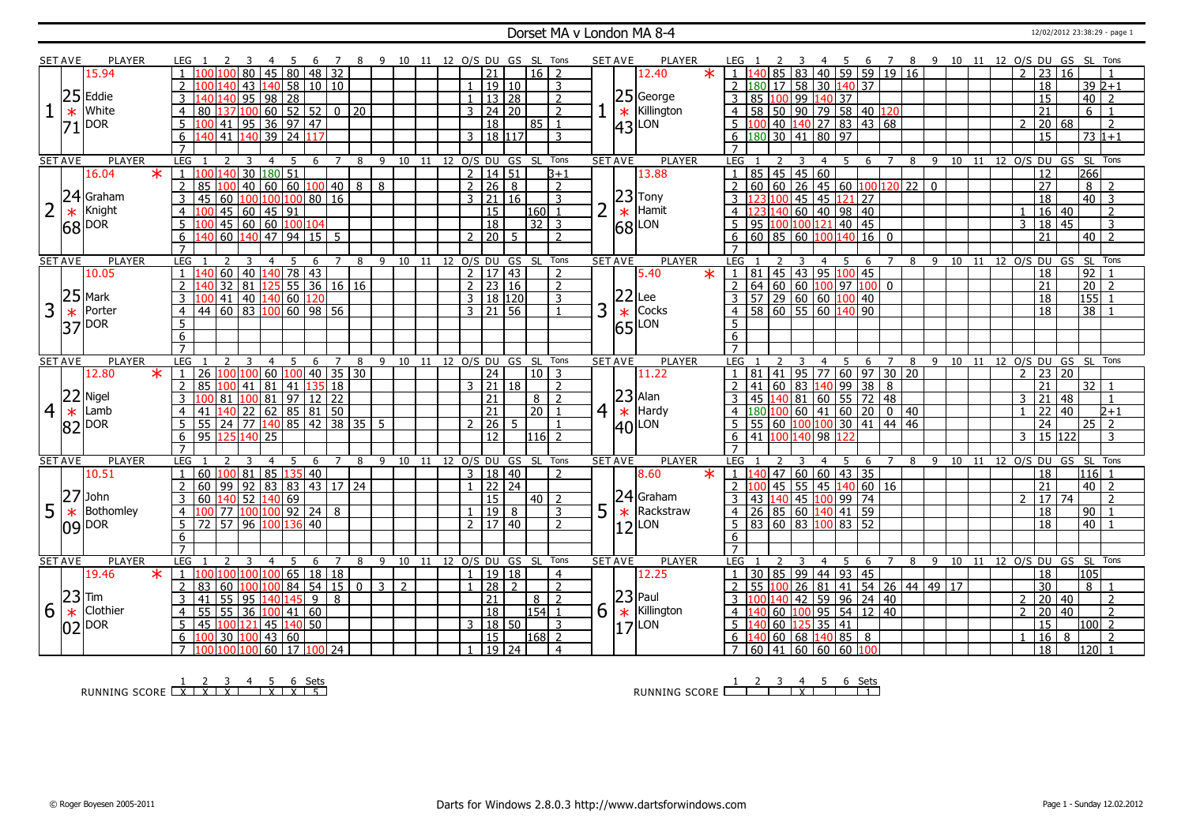#### Dorset MA v London MA 8-4 12/02/2012 23:38:29 - page 1

|                | <b>SET AVE</b>    | <b>PLAYER</b>         |                | LEG.                              | 4                                                    | -5<br>-6                         | $\overline{7}$    | 8 9 10 11 12 O/S DU GS SL Tons |                     |    |               |                                                |                         |                              |                | <b>SET AVE</b>    | <b>PLAYER</b>                                                                                            | LEG 1          |                                                                                          |                    | - 5<br>4       | - 6                                    |                |   |                |    |     |                |                                |                 | 7 8 9 10 11 12 O/S DU GS SL Tons   |  |
|----------------|-------------------|-----------------------|----------------|-----------------------------------|------------------------------------------------------|----------------------------------|-------------------|--------------------------------|---------------------|----|---------------|------------------------------------------------|-------------------------|------------------------------|----------------|-------------------|----------------------------------------------------------------------------------------------------------|----------------|------------------------------------------------------------------------------------------|--------------------|----------------|----------------------------------------|----------------|---|----------------|----|-----|----------------|--------------------------------|-----------------|------------------------------------|--|
|                |                   | 15.94                 |                |                                   | 45 80 48 32<br>80                                    |                                  |                   |                                |                     |    |               | 21                                             |                         | $16$   2                     |                |                   | $\star$<br>12.40                                                                                         | $1 \vert 140$  |                                                                                          |                    |                | 85   83   40   59   59   19   16       |                |   |                |    |     | $\overline{2}$ | $\overline{23}$                | 16              |                                    |  |
|                |                   |                       |                | $\overline{2}$                    | $ 140 $ 58   10   10<br>43                           |                                  |                   |                                |                     |    |               | 19 10                                          |                         | $\overline{3}$               |                |                   |                                                                                                          |                | 2 180 17 58 30 140 37                                                                    |                    |                |                                        |                |   |                |    |     |                | 18                             |                 | $39 2+1$                           |  |
|                |                   | $25$ Eddie            |                | 3                                 | 98 28<br>$\overline{95}$                             |                                  |                   |                                |                     |    |               | 1   13   28                                    |                         | $\overline{2}$               |                |                   | $ 25 $ George                                                                                            |                | 3 85 100 99 140 37                                                                       |                    |                |                                        |                |   |                |    |     |                | $\overline{15}$                | 40              | $\overline{z}$                     |  |
|                |                   | White                 |                |                                   |                                                      |                                  |                   |                                |                     |    |               |                                                |                         |                              |                |                   | Killington                                                                                               |                |                                                                                          |                    |                |                                        |                |   |                |    |     |                | $\overline{21}$                |                 |                                    |  |
|                | $\ast$            |                       |                | $\overline{4}$<br>80              | 137 100 60 52 52 0 20                                |                                  |                   |                                |                     |    |               | $3 \mid 24 \mid 20$                            |                         | $\overline{2}$               |                | $\ast$            |                                                                                                          |                | 4   58   50   90   79   58   40   120                                                    |                    |                |                                        |                |   |                |    |     |                |                                |                 | 6<br>$\overline{1}$                |  |
|                | 71                | DOR                   |                | 5                                 | 00 41 95 36 97 47                                    |                                  |                   |                                |                     |    |               | $\overline{18}$                                | 85 l                    | $\mathbf{1}$                 |                |                   | 43 LON                                                                                                   | 5 li           |                                                                                          |                    |                | $\sqrt{40}$   140   27   83   43   68  |                |   |                |    |     |                | 20 68                          |                 | $\overline{\phantom{0}}$           |  |
|                |                   |                       |                | 6                                 | 41 140 39 24                                         | 117                              |                   |                                |                     |    | 3             | 18 117                                         |                         | 3                            |                |                   |                                                                                                          |                | $6 \left  180 \right  30 \left  41 \right  80 \left  97 \right $                         |                    |                |                                        |                |   |                |    |     |                | 15                             |                 | $73 1+1$                           |  |
|                |                   |                       |                |                                   |                                                      |                                  |                   |                                |                     |    |               |                                                |                         |                              |                |                   |                                                                                                          |                |                                                                                          |                    |                |                                        |                |   |                |    |     |                |                                |                 |                                    |  |
|                | <b>SET AVE</b>    | <b>PLAYER</b>         |                | LEG                               | 3<br>$\overline{4}$                                  | -5<br>6                          | $\overline{7}$    | 8                              | 9                   |    |               | 10 11 12 0/S DU GS                             | -SL                     | Tons                         |                | <b>SET AVE</b>    | <b>PLAYER</b>                                                                                            | LEG            |                                                                                          |                    | $\overline{4}$ | -5<br>-6                               |                | 8 | 9              | 10 |     |                |                                |                 | 11 12 0/S DU GS SL Tons            |  |
|                |                   | 16.04<br>$\ast$       | $\mathbf{1}$   | 40 <br>100 L                      | $\overline{30}$<br>$180\,51$                         |                                  |                   |                                |                     |    |               | $2 \mid 14 \mid 51$                            |                         | $3+1$                        |                |                   | 13.88                                                                                                    | $\overline{1}$ | 85 45 45 60                                                                              |                    |                |                                        |                |   |                |    |     |                | 12                             | 266             |                                    |  |
|                |                   |                       |                | $\overline{2}$<br>85              | 60   60   100   40<br>40                             |                                  |                   | 8<br>8                         |                     |    | 2 26          |                                                | 8                       | $\overline{2}$               |                |                   |                                                                                                          | 2              |                                                                                          |                    |                |                                        |                |   |                |    |     |                | $\overline{27}$                |                 | $\overline{8}$<br>$\overline{2}$   |  |
|                |                   | 24 Graham             |                | 3<br>45<br>60                     | 100 100 100 80                                       |                                  | $\overline{16}$   |                                |                     |    |               | $3 \ 21 \ 16$                                  |                         | $\overline{3}$               |                |                   |                                                                                                          |                | $3\overline{)123\overline{)100\overline{0}}$ 45 45 121 27                                |                    |                |                                        |                |   |                |    |     |                | $\overline{18}$                |                 | $\frac{1}{40}$ 3                   |  |
| $\overline{2}$ | $\ast$            | Knight                |                | 45<br>$\overline{4}$              | 60<br> 45 91                                         |                                  |                   |                                |                     |    |               | 15                                             | 160                     | $\overline{1}$               |                |                   | $\left 23\right $ Tony<br>* Hamit                                                                        | 4 1            | <u>  23 140 60   40   98   40</u>                                                        |                    |                |                                        |                |   |                |    |     | $\overline{1}$ | $16 \mid 40$                   |                 | $\overline{2}$                     |  |
|                |                   | $ 68 $ <sup>DOR</sup> |                | 5<br>1 በበ                         | 45 60 60 100                                         | 104                              |                   |                                |                     |    |               | $\overline{18}$                                |                         | $32 \mid 3$                  |                |                   | $\frac{1}{68}$ Hami                                                                                      |                | 5   95   100   100   121                                                                 |                    |                | $40 \overline{45}$                     |                |   |                |    |     | 3              | 18 45                          |                 | 3                                  |  |
|                |                   |                       |                | 60<br>6                           | 140 47 94 15                                         |                                  | -5                |                                |                     |    |               | 21201                                          | $5^{\circ}$             | $\overline{2}$               |                |                   |                                                                                                          | 6              |                                                                                          |                    |                |                                        |                |   |                |    |     |                | $\overline{21}$                |                 | $40$   2                           |  |
|                |                   |                       |                | $\overline{7}$                    |                                                      |                                  |                   |                                |                     |    |               |                                                |                         |                              |                |                   |                                                                                                          |                |                                                                                          |                    |                |                                        |                |   |                |    |     |                |                                |                 |                                    |  |
|                | <b>SET AVE</b>    | <b>PLAYER</b>         |                | LEG                               | 3<br>$\overline{a}$                                  | -5<br>-6                         | $\overline{7}$    | 8                              |                     |    |               |                                                |                         | 9 10 11 12 O/S DU GS SL Tons |                | <b>SET AVE</b>    | <b>PLAYER</b>                                                                                            | LEG            |                                                                                          |                    |                | 6                                      | $\overline{7}$ | 8 | $\overline{9}$ |    |     |                | 10 11 12 O/S DU GS             |                 | SL Tons                            |  |
|                |                   | 10.05                 | $\overline{1}$ | 60                                | $\overline{40}$<br>$140$ 78 43                       |                                  |                   |                                |                     |    |               | 2   17   43                                    |                         | $\overline{2}$               |                |                   | 5.40<br>$\ast$                                                                                           |                | $1 \ 81 \ 45 \ 43 \ 95 \ 100 \ 45$                                                       |                    |                |                                        |                |   |                |    |     |                | 18                             | $\overline{92}$ |                                    |  |
|                |                   |                       |                | 32                                | 81                                                   | $55 \ 36 \ 16 \ 16$              |                   |                                |                     |    |               | $\overline{2}$ $\overline{23}$ $\overline{16}$ |                         | $\overline{2}$               |                |                   |                                                                                                          |                | 2   64   60   60   100   97   100   0                                                    |                    |                |                                        |                |   |                |    |     |                | 21                             | $\frac{1}{20}$  | $\overline{2}$                     |  |
|                |                   | $25$ Mark             |                | 41                                | 40<br>140                                            | $\overline{60}$<br>120           |                   |                                |                     |    |               | 3   18   120                                   |                         | $\overline{3}$               |                | 22                | Lee                                                                                                      |                | $\sqrt{57}$ 29 60 60 100 40                                                              |                    |                |                                        |                |   |                |    |     |                | 18                             |                 | 155                                |  |
| 3              |                   | Porter                |                | 44 60 83 100                      |                                                      | 60   98   56                     |                   |                                |                     |    |               | $3 \mid 21 \mid 56$                            |                         |                              | 3              |                   | Cocks                                                                                                    |                | 4 58 60 55 60 140 90                                                                     |                    |                |                                        |                |   |                |    |     |                | 18                             | 38              |                                    |  |
|                | $\ast$            |                       | $\overline{4}$ |                                   |                                                      |                                  |                   |                                |                     |    |               |                                                |                         |                              |                |                   |                                                                                                          |                |                                                                                          |                    |                |                                        |                |   |                |    |     |                |                                |                 |                                    |  |
|                |                   | 37 DOR                |                | $\overline{5}$                    |                                                      |                                  |                   |                                |                     |    |               |                                                |                         |                              |                |                   | $\frac{12}{100}$ Cock                                                                                    | .5             |                                                                                          |                    |                |                                        |                |   |                |    |     |                |                                |                 |                                    |  |
|                |                   |                       |                | 6                                 |                                                      |                                  |                   |                                |                     |    |               |                                                |                         |                              |                |                   |                                                                                                          | 6              |                                                                                          |                    |                |                                        |                |   |                |    |     |                |                                |                 |                                    |  |
|                |                   |                       |                | $\overline{7}$                    |                                                      |                                  |                   |                                |                     |    |               |                                                |                         |                              |                |                   |                                                                                                          | $\overline{7}$ |                                                                                          |                    |                |                                        |                |   |                |    |     |                |                                |                 |                                    |  |
| <b>SET AVE</b> |                   |                       |                |                                   |                                                      |                                  |                   |                                |                     |    |               |                                                |                         |                              |                |                   |                                                                                                          |                |                                                                                          |                    |                |                                        |                |   |                |    |     |                |                                |                 |                                    |  |
|                |                   | <b>PLAYER</b>         |                | LEG                               | $\overline{4}$                                       | 5<br>6                           | 7                 | 8                              | 9<br>10             | 11 |               |                                                | 12 O/S DU GS SL         | Tons                         |                | <b>SET AVE</b>    | <b>PLAYER</b>                                                                                            | <b>LEG</b>     |                                                                                          |                    | 4              | 5<br>6                                 |                | 8 | 9              | 10 | -11 |                |                                |                 | 12 O/S DU GS SL Tons               |  |
|                |                   | $\ast$<br>12.80       |                | $\overline{26}$<br>$\mathbf{1}$   | 100 100 60                                           | 100 <sub>1</sub><br>$\boxed{40}$ | $35 \mid 30$      |                                |                     |    |               | $\overline{24}$                                |                         | $10 \mid 3$                  |                |                   | 11.22                                                                                                    |                | 1 81 41 95 77 60 97 30 20                                                                |                    |                |                                        |                |   |                |    |     | $\overline{2}$ | 23 20                          |                 |                                    |  |
|                |                   |                       |                | $\overline{2}$<br>85<br>100       | 81<br>41                                             | 41                               | $135$ 18          |                                |                     |    |               | $3 \mid 21 \mid 18$                            |                         | $\overline{2}$               |                |                   |                                                                                                          |                | 2   41   60   83   140   99   38   8                                                     |                    |                |                                        |                |   |                |    |     |                | 21                             |                 | 32                                 |  |
|                |                   | $22$ Nigel            | 3              | 81                                | 100 81 97 12 22                                      |                                  |                   |                                |                     |    |               | 21                                             | 8 I                     | $\overline{z}$               |                |                   | $ 23 $ Alan                                                                                              |                | 3   45   140   81   60   55   72   48                                                    |                    |                |                                        |                |   |                |    |     | 3              | 21<br>48                       |                 | $\mathbf{1}$                       |  |
| $\overline{4}$ | $\overline{\ast}$ | Lamb                  |                | $\overline{4}$<br>41              | 22 62 85 81 50                                       |                                  |                   |                                |                     |    |               | $\overline{21}$                                |                         | $20$ 1                       | 4 <sup>1</sup> | $\overline{\ast}$ | Hardy                                                                                                    |                | $4 \left  180 \right  100 \left  60 \right  41 \left  60 \right  20 \left  0 \right  40$ |                    |                |                                        |                |   |                |    |     | $\overline{1}$ | 22<br>$ 40\rangle$             |                 | $2 + 1$                            |  |
|                |                   |                       |                | 5<br>55                           | $24$ 77 140                                          | $\sqrt{85/42}$                   | $\frac{1}{38}$ 35 | -5                             |                     |    | $\mathcal{D}$ | $\overline{26}$                                | .5                      | $\overline{1}$               |                |                   |                                                                                                          |                | $5$ 5 5 60 100 100 30 41 44 46                                                           |                    |                |                                        |                |   |                |    |     |                | $\overline{24}$                | 25              | $\overline{2}$                     |  |
|                |                   | 82 DOR                |                | $6 \overline{6}$<br>95 125 140 25 |                                                      |                                  |                   |                                |                     |    |               | 12 <sup>7</sup>                                |                         | $116$ <sup>2</sup>           |                |                   | $ 40 $ LON                                                                                               |                | 6 41 100 140 98 122                                                                      |                    |                |                                        |                |   |                |    |     |                | $3 \mid 15 \mid 122$           |                 | $\mathbf{3}$                       |  |
|                |                   |                       |                | $\overline{7}$                    |                                                      |                                  |                   |                                |                     |    |               |                                                |                         |                              |                |                   |                                                                                                          |                |                                                                                          |                    |                |                                        |                |   |                |    |     |                |                                |                 |                                    |  |
|                | <b>SET AVE</b>    | PLAYER                |                | LEG                               | $\overline{4}$                                       | 6                                | $\overline{7}$    | 8<br>9                         |                     |    |               |                                                |                         | 10 11 12 0/S DU GS SL Tons   |                | <b>SET AVE</b>    | PLAYER                                                                                                   | LEG            |                                                                                          |                    | 4              | 5<br>6                                 |                | 8 | - 9            |    |     |                | 10 11 12 0/S DU GS SL          |                 | Tons                               |  |
|                |                   | 10.51                 |                | $60 \,   100   81$                | 85                                                   | 135   40                         |                   |                                |                     |    |               | 3   18   40                                    |                         | $\overline{2}$               |                |                   | 8.60<br>$\ast$                                                                                           | $1\vert$       | 40                                                                                       |                    |                | 47 60 60 43 35                         |                |   |                |    |     |                | 18                             |                 | 116                                |  |
|                |                   |                       |                | $\overline{2}$<br>60<br>  99      | $92$ 83 83 43 17 24                                  |                                  |                   |                                |                     |    |               | $1$   22   24                                  |                         |                              |                |                   |                                                                                                          |                |                                                                                          |                    |                | 45   55   45   140   60   16           |                |   |                |    |     |                | $\overline{21}$                |                 | $40$   2                           |  |
|                | 27                | John                  |                | 3<br>60                           | 140 52 140 69                                        |                                  |                   |                                |                     |    |               | 15                                             |                         | $40$   2                     |                |                   |                                                                                                          |                | 3   43   140   45   100   99   74                                                        |                    |                |                                        |                |   |                |    |     | 2              | 17 74                          |                 | 2                                  |  |
|                |                   |                       |                | 77<br>$\overline{4}$<br>100       |                                                      |                                  | 8                 |                                |                     |    |               |                                                |                         | 3                            |                |                   | $ 24 $ Graham                                                                                            |                |                                                                                          |                    |                |                                        |                |   |                |    |     |                |                                |                 |                                    |  |
| 5              | $\ast$            | Bothomley             |                | $\overline{57}$<br>72             | $ 100 100 $ 92 24                                    |                                  |                   |                                |                     |    |               | 19                                             | 8                       | $\overline{2}$               | 5              | $\ast$            | Rackstraw                                                                                                |                | 4 26 85 60 140 41 59                                                                     |                    |                |                                        |                |   |                |    |     |                | 18<br>18                       | 90              |                                    |  |
|                |                   | 109 DOR               |                | 5                                 | 96 100 136                                           | $\overline{40}$                  |                   |                                |                     |    |               | 2   17   40                                    |                         |                              |                | 12                | LON                                                                                                      |                | 5   83   60   83   100   83   52                                                         |                    |                |                                        |                |   |                |    |     |                |                                |                 | 40                                 |  |
|                |                   |                       |                | 6                                 |                                                      |                                  |                   |                                |                     |    |               |                                                |                         |                              |                |                   |                                                                                                          | 6              |                                                                                          |                    |                |                                        |                |   |                |    |     |                |                                |                 |                                    |  |
|                |                   |                       |                | $\overline{7}$                    |                                                      |                                  |                   |                                |                     |    |               |                                                |                         |                              |                |                   |                                                                                                          |                |                                                                                          |                    |                |                                        |                |   |                |    |     |                |                                |                 |                                    |  |
|                | <b>SET AVE</b>    | <b>PLAYER</b>         |                | LEG<br>$\overline{2}$             | 3<br>$\overline{4}$                                  | -5<br>6                          | 7                 | 8                              |                     |    |               |                                                | 9 10 11 12 0/S DU GS SL | Tons                         |                | <b>SET AVE</b>    | <b>PLAYER</b>                                                                                            | LEG            |                                                                                          | 3                  | $\overline{4}$ | -5<br>-6                               | 7 8            |   | 9 10           |    |     |                |                                |                 | 11 12 0/S DU GS SL Tons            |  |
|                |                   | 19.46<br>$\ast$       |                | 1<br>۱۵۵۱۱۵۵                      |                                                      | 65<br>18                         | 18                |                                |                     |    |               | 1   19   18                                    |                         | $\overline{4}$               |                |                   | 12.25                                                                                                    |                | $1 \mid 30 \mid 85 \mid 99 \mid 44 \mid 93 \mid 45$                                      |                    |                |                                        |                |   |                |    |     |                | 18                             | 105             |                                    |  |
|                |                   |                       |                | $\overline{2}$<br>60<br>83        | 100<br>100                                           | 84<br>54                         | 15                | $\overline{0}$ 1               | $\overline{3}$<br>2 |    | $\mathbf{1}$  | $\overline{28}$                                | $\overline{2}$          | 2                            |                |                   |                                                                                                          | 2 I            | 55 100                                                                                   | 26                 |                | 81   41   54   26   44   49   17       |                |   |                |    |     |                | 30                             |                 | 8                                  |  |
|                |                   | $23$ $\text{Time}$    |                | 3<br>55<br>41                     | 95<br>140 145                                        | 9                                | 8                 |                                |                     |    |               | 21                                             | 8 <sup>1</sup>          | $\overline{z}$               |                |                   |                                                                                                          |                | $3 \mid 100 \mid 140$                                                                    |                    |                | $142$ 59 96 24 40                      |                |   |                |    |     | 2              | 20   40                        |                 | $\overline{2}$                     |  |
| 6              | $\ast$            | Clothier              |                | 55<br>$\overline{4}$<br>55        | $\overline{36}$                                      | $100$ 41 60                      |                   |                                |                     |    |               | $\overline{18}$                                |                         | 154 1                        | 6              |                   | $\begin{array}{ c c }\n 23 \text{ Paul} \\ \times \text{ Killing} \\ \hline\n \end{array}$<br>Killington | $\overline{4}$ |                                                                                          |                    |                | $\boxed{60}$ $\boxed{100}$ 95 54 12 40 |                |   |                |    |     | $\overline{z}$ | $\overline{20}$<br>$\sqrt{40}$ |                 | $\overline{2}$                     |  |
|                |                   | $02$ $\text{pos}$     |                | 5<br>45                           | 100 121 45 140 50                                    |                                  |                   |                                |                     |    |               | 3   18   50                                    |                         | $\overline{3}$               |                | 17                | LON                                                                                                      | 5 h            |                                                                                          | 60   125   35   41 |                |                                        |                |   |                |    |     |                | $\overline{15}$                |                 | $ 100 $ 2                          |  |
|                |                   |                       |                | 30<br>6<br>LOO<br>$\overline{7}$  | $ 100 $ 43   60<br>$100 100 100 $ 60   17 $ 100 $ 24 |                                  |                   |                                |                     |    |               | 15<br>$\boxed{19}$ 24                          |                         | 168 2<br>$\overline{4}$      |                |                   |                                                                                                          | 6 140          | 7   60   41   60   60   60   100                                                         |                    |                | 60 68 140 85 8                         |                |   |                |    |     |                | 16<br>18                       | 8               | $\overline{\phantom{0}}$<br> 120 1 |  |

RUNNING SCORE 1 X 2 X 3 X 4 5 X 6 X Sets 5

RUNNING SCORE 1 2 3 4 X 5 6 Sets 1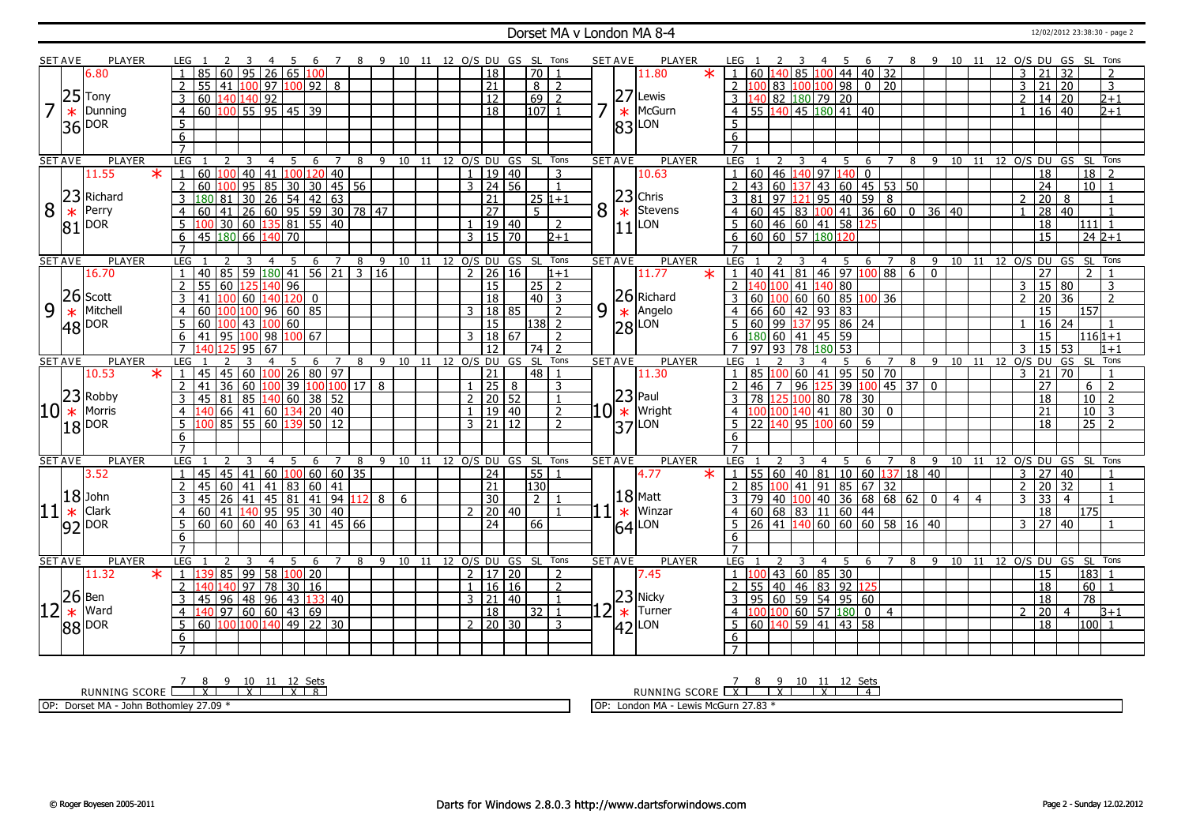### Dorset MA v London MA 8-4 12/02/2012 23:38:30 - page 2

|    | SET AVE         | PLAYER                                                                                        |                     |                |                                        |                              |                                                               | 4                                          |             |                |                   |                |                              |                 |    |    |                |                     |       | 8 9 10 11 12 O/S DU GS SL | Tons                         |   |    | <b>SET AVE</b> | <b>PLAYER</b>                     |         |                 |              |                                                         |             |   |                | - 5          | 6                           | $\overline{7}$                                         |                                                                     |     | 8 9 10 11 12 O/S DU GS SL Tons |                |                       |                |                     |                 |                 |                |  |
|----|-----------------|-----------------------------------------------------------------------------------------------|---------------------|----------------|----------------------------------------|------------------------------|---------------------------------------------------------------|--------------------------------------------|-------------|----------------|-------------------|----------------|------------------------------|-----------------|----|----|----------------|---------------------|-------|---------------------------|------------------------------|---|----|----------------|-----------------------------------|---------|-----------------|--------------|---------------------------------------------------------|-------------|---|----------------|--------------|-----------------------------|--------------------------------------------------------|---------------------------------------------------------------------|-----|--------------------------------|----------------|-----------------------|----------------|---------------------|-----------------|-----------------|----------------|--|
|    |                 | 6.80                                                                                          |                     |                | 85                                     | 60                           | 95                                                            | 26                                         | 65 100      |                |                   |                |                              |                 |    |    |                | $\overline{18}$     |       | 70                        |                              |   |    |                | 11.80                             | $\star$ |                 | $1 \vert 60$ |                                                         |             |   |                |              |                             | <mark>140</mark> 85 100 44 40 32                       |                                                                     |     |                                |                |                       | 3              | 21                  | 32              |                 | $\overline{z}$ |  |
|    |                 |                                                                                               | $\mathcal{P}$       |                | 55 41 100 97 100 92                    |                              |                                                               |                                            |             |                | 8                 |                |                              |                 |    |    |                | $\overline{21}$     |       | 8 I                       | $\overline{z}$               |   |    |                |                                   |         |                 | $2 \, 100$   |                                                         |             |   |                |              |                             | 83 100 100 98 0 20                                     |                                                                     |     |                                |                |                       | 3              | 21                  | 20              |                 | 3              |  |
|    |                 | $25$ Tony                                                                                     | $\overline{3}$      |                | 60 140 140 92                          |                              |                                                               |                                            |             |                |                   |                |                              |                 |    |    |                | $\overline{12}$     |       | 69                        | $\overline{2}$               |   |    |                | $27$ Lewis                        |         | $\overline{3}$  | 140          |                                                         |             |   |                | 82 180 79 20 |                             |                                                        |                                                                     |     |                                |                |                       | $\overline{2}$ | $\overline{14}$     | $\overline{20}$ |                 | 2+1            |  |
|    |                 | Dunning                                                                                       |                     |                | $\boxed{60}$ $\boxed{100}$ 55 95 45 39 |                              |                                                               |                                            |             |                |                   |                |                              |                 |    |    |                | 18                  |       |                           | $107$ 1                      | 7 |    |                | McGurn                            |         | $\overline{4}$  |              |                                                         |             |   |                |              | 55 140 45 180 41 40         |                                                        |                                                                     |     |                                |                |                       |                |                     |                 |                 | $\sqrt{2+1}$   |  |
|    | $\ast$          |                                                                                               | $\overline{4}$      |                |                                        |                              |                                                               |                                            |             |                |                   |                |                              |                 |    |    |                |                     |       |                           |                              |   |    | $\ast$         |                                   |         |                 |              |                                                         |             |   |                |              |                             |                                                        |                                                                     |     |                                |                |                       | $\mathbf{1}$   | $16 \mid 40$        |                 |                 |                |  |
|    |                 | $ 36 $ <sub>DOR</sub>                                                                         | $\overline{5}$      |                |                                        |                              |                                                               |                                            |             |                |                   |                |                              |                 |    |    |                |                     |       |                           |                              |   |    | 83             | LON                               |         | $\overline{5}$  |              |                                                         |             |   |                |              |                             |                                                        |                                                                     |     |                                |                |                       |                |                     |                 |                 |                |  |
|    |                 |                                                                                               | 6                   |                |                                        |                              |                                                               |                                            |             |                |                   |                |                              |                 |    |    |                |                     |       |                           |                              |   |    |                |                                   |         | 6               |              |                                                         |             |   |                |              |                             |                                                        |                                                                     |     |                                |                |                       |                |                     |                 |                 |                |  |
|    |                 |                                                                                               |                     |                |                                        |                              |                                                               |                                            |             |                |                   |                |                              |                 |    |    |                |                     |       |                           |                              |   |    |                |                                   |         |                 |              |                                                         |             |   |                |              |                             |                                                        |                                                                     |     |                                |                |                       |                |                     |                 |                 |                |  |
|    | <b>SET AVE</b>  | <b>PLAYER</b>                                                                                 |                     | LEG            |                                        | 2                            | $\overline{3}$                                                | $\overline{4}$                             | 5           | 6              | $\overline{7}$    |                | 8                            |                 |    |    |                |                     |       |                           | 9 10 11 12 O/S DU GS SL Tons |   |    | <b>SET AVE</b> | <b>PLAYER</b>                     |         | LEG             |              | 2                                                       |             |   | $\overline{4}$ | $-5$         | 6                           | $\overline{7}$                                         | $\overline{\phantom{0}8}$                                           |     | 9 10 11 12 0/S DU GS SL Tons   |                |                       |                |                     |                 |                 |                |  |
|    |                 | 11.55<br>$\star$                                                                              |                     |                | 60 100                                 |                              | 40 41                                                         |                                            |             |                | 100 120 40        |                |                              |                 |    |    | $\mathbf{1}$   |                     | 19 40 |                           | 3                            |   |    |                | 10.63                             |         |                 |              | 60 46 140 97 140                                        |             |   |                |              | $\mathbf{0}$                |                                                        |                                                                     |     |                                |                |                       |                | 18                  |                 | 18              |                |  |
|    |                 |                                                                                               | $\overline{2}$      |                | 60 100                                 |                              |                                                               |                                            |             |                |                   |                |                              |                 |    |    |                | $3 \ 24 \ 56$       |       |                           | $\overline{1}$               |   |    |                |                                   |         |                 |              |                                                         |             |   |                |              |                             |                                                        | 43 60 137 43 60 45 53 50                                            |     |                                |                |                       |                | $\overline{24}$     |                 |                 | $10$   1       |  |
|    | 23              | Richard                                                                                       | $\overline{3}$      |                | 180 81                                 |                              |                                                               |                                            |             |                |                   |                |                              |                 |    |    |                | $\overline{21}$     |       |                           | $25 1+1$                     |   |    |                | $23$ Chris                        |         | 3               |              |                                                         |             |   |                |              |                             |                                                        |                                                                     |     |                                |                |                       | $\overline{2}$ | $\overline{20}$     | 8               |                 |                |  |
| 8  | $\ast$          | Perry                                                                                         | $\overline{4}$      |                | 60                                     | 41                           | 0 95 85 30 30 45 56<br>30 26 54 42 63<br>26 60 95 59 30 78 47 |                                            |             |                |                   |                |                              |                 |    |    |                | $\overline{27}$     |       | $\overline{5}$            |                              | 8 |    | $\ast$         | Stevens                           |         | 4               |              |                                                         |             |   |                |              |                             |                                                        |                                                                     |     |                                |                |                       | $\overline{1}$ | 28   40             |                 |                 |                |  |
|    | 81              | DOR <sup>1</sup>                                                                              |                     | 5 <sup>5</sup> |                                        | 30   60   135   81   55   40 |                                                               |                                            |             |                |                   |                |                              |                 |    |    |                | 1   19   40         |       |                           | $\overline{2}$               |   |    | 11             | LON                               |         |                 |              |                                                         |             |   |                |              | 5 60 46 60 41 58 125        |                                                        |                                                                     |     |                                |                |                       |                | 18                  |                 | 111             | $\overline{1}$ |  |
|    |                 |                                                                                               | 6                   |                | 45 180 66                              |                              |                                                               | 140                                        | 70          |                |                   |                |                              |                 |    |    |                | $3 \mid 15 \mid 70$ |       |                           | D+1                          |   |    |                |                                   |         | 6               |              | $\frac{160}{60}$ 60 57 180 120                          |             |   |                |              |                             |                                                        |                                                                     |     |                                |                |                       |                | 15                  |                 |                 | $242+1$        |  |
|    |                 |                                                                                               | $\overline{7}$      |                |                                        |                              |                                                               |                                            |             |                |                   |                |                              |                 |    |    |                |                     |       |                           |                              |   |    |                |                                   |         |                 |              |                                                         |             |   |                |              |                             |                                                        |                                                                     |     |                                |                |                       |                |                     |                 |                 |                |  |
|    | <b>SET AVE</b>  | <b>PLAYER</b>                                                                                 |                     | <b>LEG</b>     |                                        |                              |                                                               | 4                                          | -5          | 6              |                   |                | $7 \overline{8}$             |                 |    |    |                |                     |       | 9 10 11 12 O/S DU GS SL   | Tons                         |   |    | <b>SET AVE</b> | <b>PLAYER</b>                     |         | LEG             |              |                                                         |             |   |                | -5           | 6                           | $\overline{7}$                                         | 8                                                                   | - 9 |                                |                | 10 11 12 O/S DU GS    |                |                     |                 | - SL            | Tons           |  |
|    |                 | 16.70                                                                                         | $\overline{1}$      |                | 40                                     | 85   59   180   41   56   21 |                                                               |                                            |             |                |                   |                | $\overline{\overline{\cdot}$ | $\overline{16}$ |    |    |                | $2 \ 26 \ 16$       |       |                           | $1 + 1$                      |   |    |                | 11.77                             | $\ast$  | $\mathbf{1}$    |              |                                                         |             |   |                |              |                             |                                                        | $40 \mid 41 \mid 81 \mid 46 \mid 97 \mid 100 \mid 88 \mid 6 \mid 0$ |     |                                |                |                       |                | $\overline{27}$     |                 | $\mathcal{P}$   |                |  |
|    |                 |                                                                                               | 2                   |                | $\overline{55}$                        | 60 125                       |                                                               | 140                                        | $\sqrt{96}$ |                |                   |                |                              |                 |    |    |                | $\overline{15}$     |       |                           | $25 \mid 2$                  |   |    |                |                                   |         | $\overline{2}$  |              | 140 100 41 140 80                                       |             |   |                |              |                             |                                                        |                                                                     |     |                                |                |                       | 3              | 15 80               |                 |                 | 3              |  |
|    | 26              | Scott                                                                                         | $\mathbf{3}$        |                | 41                                     | 100 60 140 120               |                                                               |                                            |             | $\overline{0}$ |                   |                |                              |                 |    |    |                | $\overline{18}$     |       |                           | $40 \mid 3$                  |   |    |                | 26 Richard                        |         |                 |              |                                                         |             |   |                |              |                             | $60 \mid 100 \mid 60 \mid 60 \mid 85 \mid 100 \mid 36$ |                                                                     |     |                                |                |                       | $\overline{2}$ | 20 36               |                 |                 | $\overline{2}$ |  |
| 9  |                 | Mitchell                                                                                      | $\overline{4}$      |                | 60                                     |                              | 100                                                           | $96 \ 60 \ 85$                             |             |                |                   |                |                              |                 |    |    | 3              |                     | 18 85 |                           | $\overline{2}$               |   | 9  |                | Angelo                            |         | $\overline{4}$  |              | 66   60   42   93   83                                  |             |   |                |              |                             |                                                        |                                                                     |     |                                |                |                       |                | $\overline{15}$     |                 | 157             |                |  |
|    | $\overline{48}$ | <b>DOR</b>                                                                                    | 5                   |                | $60$  100   43   100   60              |                              |                                                               |                                            |             |                |                   |                |                              |                 |    |    |                | 15                  |       | 138                       | $\overline{2}$               |   |    |                |                                   |         |                 |              |                                                         |             |   |                |              | 60 99 137 95 86 24          |                                                        |                                                                     |     |                                |                |                       |                | 16 24               |                 |                 |                |  |
|    |                 |                                                                                               | 6                   |                | 41 95 100 98                           |                              |                                                               |                                            | 100 67      |                |                   |                |                              |                 |    |    |                | 3   18   67         |       |                           | $\overline{2}$               |   |    |                | $\frac{1}{28}$ Ange               |         |                 |              | $6 \overline{)180} 60 \overline{)41} 45 \overline{)59}$ |             |   |                |              |                             |                                                        |                                                                     |     |                                |                |                       |                | $\overline{15}$     |                 |                 | 1161+1         |  |
|    |                 |                                                                                               |                     |                | 140 125                                |                              | 95                                                            | 67                                         |             |                |                   |                |                              |                 |    |    |                | 12                  |       | 74                        | $\overline{2}$               |   |    |                |                                   |         |                 |              | $97$ 93 78 180                                          |             |   |                | 53           |                             |                                                        |                                                                     |     |                                |                |                       | 3              | $15$ 53             |                 |                 |                |  |
|    |                 |                                                                                               |                     |                |                                        |                              | 3                                                             | 4                                          | 5           | 6              |                   | 7              | 8                            | 9               | 10 | 11 |                | 12 0/S DU           | GS    | <b>SL</b>                 | Tons                         |   |    | <b>SET AVE</b> | <b>PLAYER</b>                     |         | LEG.            |              |                                                         |             |   | 4              | 5            | 6                           | 7                                                      | 8                                                                   | - 9 |                                |                | 12 O/S DU GS SL Tons  |                |                     |                 |                 | $1 + 1$        |  |
|    |                 |                                                                                               |                     |                |                                        |                              |                                                               |                                            |             |                |                   |                |                              |                 |    |    |                |                     |       |                           |                              |   |    |                |                                   |         |                 |              |                                                         |             |   |                |              |                             |                                                        |                                                                     |     |                                |                |                       |                |                     |                 |                 |                |  |
|    | <b>SET AVE</b>  | <b>PLAYER</b>                                                                                 |                     | LEG            |                                        | 2                            |                                                               |                                            |             |                |                   |                |                              |                 |    |    |                |                     |       |                           |                              |   |    |                |                                   |         |                 |              |                                                         |             |   |                |              |                             |                                                        |                                                                     |     | 10                             | 11             |                       |                |                     |                 |                 |                |  |
|    |                 | 10.53<br>$\ast$                                                                               | $\mathbf{1}$        |                | 45                                     | 45 60 100 26 80 97           |                                                               |                                            |             |                |                   |                |                              |                 |    |    |                | $\overline{21}$     |       | 48                        |                              |   |    |                | 11.30                             |         |                 |              |                                                         |             |   |                |              |                             | 85 100 60 41 95 50 70                                  |                                                                     |     |                                |                |                       | 3              | 21                  | $\overline{70}$ |                 |                |  |
|    |                 |                                                                                               | $\overline{2}$      |                | 41                                     | 36                           | 60                                                            | 100 39                                     |             |                | 100 100           |                | 17                           | 8               |    |    |                | $1 \mid 25 \mid$    | 8     |                           | 3                            |   |    |                |                                   |         | $\mathcal{L}$   |              | $46$   7                                                |             |   |                |              |                             |                                                        | $96$ 125 39 100 45 37                                               | l O |                                |                |                       |                | 27                  |                 | 6               | $\overline{2}$ |  |
|    | 23              | Robby                                                                                         | $\overline{3}$      |                | 45                                     | $\overline{81}$              | $\frac{65}{140}$ 60 38 52                                     |                                            |             |                |                   |                |                              |                 |    |    |                | $2$   20   52       |       |                           | $\overline{1}$               |   |    |                | $ 23 $ Paul                       |         | 3               |              |                                                         |             |   |                |              | 78 125 100 80 78 30         |                                                        |                                                                     |     |                                |                |                       |                | 18                  |                 | $\overline{10}$ | $\overline{2}$ |  |
| 10 | $\ast$          | Morris                                                                                        | $\overline{4}$      |                |                                        | 66 41                        |                                                               | $\boxed{60}$ $\boxed{134}$ 20 $\boxed{40}$ |             |                |                   |                |                              |                 |    |    | $\mathbf{1}$   |                     | 19 40 |                           | $\overline{2}$               |   |    |                | $10$ $\star$ Wright               |         | $\overline{4}$  |              |                                                         |             |   |                |              | 100 100 140 41 80 30 0      |                                                        |                                                                     |     |                                |                |                       |                | 21                  |                 | $\overline{10}$ | l 3            |  |
|    |                 |                                                                                               | $5\overline{)}$     |                |                                        | $85$ 55 60                   |                                                               |                                            |             |                | $\frac{1}{50}$ 12 |                |                              |                 |    |    |                | $3 \mid 21 \mid 12$ |       |                           | $\overline{2}$               |   |    |                | $ 37 $ LON                        |         | $5\overline{5}$ |              |                                                         |             |   |                |              | 22 140 95 100 60 59         |                                                        |                                                                     |     |                                |                |                       |                | $\overline{18}$     |                 | $\overline{25}$ | $\overline{2}$ |  |
|    |                 | $18$ DOR                                                                                      | 6                   |                |                                        |                              |                                                               |                                            |             |                |                   |                |                              |                 |    |    |                |                     |       |                           |                              |   |    |                |                                   |         | 6               |              |                                                         |             |   |                |              |                             |                                                        |                                                                     |     |                                |                |                       |                |                     |                 |                 |                |  |
|    |                 |                                                                                               | $\overline{7}$      |                |                                        |                              |                                                               |                                            |             |                |                   |                |                              |                 |    |    |                |                     |       |                           |                              |   |    |                |                                   |         |                 |              |                                                         |             |   |                |              |                             |                                                        |                                                                     |     |                                |                |                       |                |                     |                 |                 |                |  |
|    | <b>SET AVE</b>  | <b>PLAYER</b>                                                                                 |                     | LEG            |                                        |                              |                                                               | $\overline{4}$                             | 5           | 6              | $\overline{7}$    |                | 8                            | 9               |    |    |                |                     |       |                           | 10 11 12 O/S DU GS SL Tons   |   |    | <b>SET AVE</b> | <b>PLAYER</b>                     |         | LEG             |              |                                                         |             |   | $\overline{4}$ | 5            | 6                           | $\overline{7}$                                         | 8                                                                   | 9   |                                |                | 10 11 12 0/S DU GS SL |                |                     |                 |                 | Tons           |  |
|    |                 | 3.52                                                                                          |                     | $\overline{1}$ | l 45                                   | 45                           | 41   60   100   60   60   35                                  |                                            |             |                |                   |                |                              |                 |    |    |                | $\overline{24}$     |       | 55                        |                              |   |    |                | 4.77                              | $\ast$  | 1 <sup>1</sup>  |              |                                                         |             |   |                |              |                             |                                                        | 55 60 40 81 10 60 137 18 40                                         |     |                                |                |                       |                | $3 \mid 27 \mid 40$ |                 |                 |                |  |
|    |                 |                                                                                               |                     |                | 45                                     | 60   41                      |                                                               | 41                                         | 83          |                | 60 41             |                |                              |                 |    |    |                | $\overline{21}$     |       | 130                       |                              |   |    |                |                                   |         |                 |              | 85 100 41                                               |             |   |                |              |                             | $91 \ 85 \ 67 \ 32$                                    |                                                                     |     |                                |                |                       | $\overline{2}$ | 20 32               |                 |                 | $\overline{1}$ |  |
|    |                 |                                                                                               | 3                   |                | 45                                     |                              |                                                               |                                            |             |                |                   |                | 112                          | 8               | 6  |    |                | $\overline{30}$     |       | $\overline{2}$            |                              |   |    |                | $18$ Matt                         |         | 3               |              |                                                         |             |   |                |              |                             |                                                        | 79 40 100 40 36 68 68 62 0                                          |     | $\overline{4}$                 | $\overline{4}$ |                       | $\overline{3}$ | $\overline{33}$     | $\overline{4}$  |                 |                |  |
| 11 |                 |                                                                                               | $\overline{4}$      |                | 60                                     | 41 140 95 95 30              |                                                               |                                            |             |                | 40                |                |                              |                 |    |    |                |                     | 20 40 |                           |                              |   |    | $\ast$         | Winzar                            |         | $\overline{4}$  |              |                                                         |             |   |                |              | 60   68   83   11   60   44 |                                                        |                                                                     |     |                                |                |                       |                | 18                  |                 | 175             |                |  |
|    |                 | $\begin{array}{ c c } \hline 18 & \text{John} \\ \hline \text{# } & \text{Clark} \end{array}$ | 5                   |                | $\frac{160}{60}$ 60 60 40 63 41 45 66  |                              |                                                               |                                            |             |                |                   |                |                              |                 |    |    |                | $\overline{24}$     |       | 66                        |                              |   |    |                | LON                               |         | 5               |              |                                                         |             |   |                |              |                             |                                                        | 26 41 40 60 60 60 58 16 40                                          |     |                                |                |                       | $\overline{3}$ | 27 40               |                 |                 |                |  |
|    |                 | $ 92 ^{DOR}$                                                                                  | 6                   |                |                                        |                              |                                                               |                                            |             |                |                   |                |                              |                 |    |    |                |                     |       |                           |                              |   |    | 64             |                                   |         | 6               |              |                                                         |             |   |                |              |                             |                                                        |                                                                     |     |                                |                |                       |                |                     |                 |                 |                |  |
|    |                 |                                                                                               | $\overline{7}$      |                |                                        |                              |                                                               |                                            |             |                |                   |                |                              |                 |    |    |                |                     |       |                           |                              |   |    |                |                                   |         |                 |              |                                                         |             |   |                |              |                             |                                                        |                                                                     |     |                                |                |                       |                |                     |                 |                 |                |  |
|    | <b>SET AVE</b>  | PLAYER                                                                                        |                     | <b>LEG</b>     |                                        | $\overline{2}$               | 3                                                             | $\overline{4}$                             | -5          | 6              |                   | $\overline{7}$ | 8                            | 9               | 10 | 11 |                |                     |       | 12 O/S DU GS SL           | Tons                         |   |    | <b>SET AVE</b> | <b>PLAYER</b>                     |         | LEG             |              |                                                         |             | 3 |                | 4 5          | 6                           | $\overline{7}$                                         | 8                                                                   | 9   | 10                             |                | 11 12 O/S DU GS       |                |                     |                 |                 | SL Tons        |  |
|    |                 | 11.32<br>$\ast$                                                                               |                     | $\mathbf{1}$   |                                        |                              |                                                               |                                            | 100 20      |                |                   |                |                              |                 |    |    |                | 2   17   20         |       |                           | 2                            |   |    |                | 7.45                              |         | 1 <sup>1</sup>  | 10C          |                                                         |             |   |                |              |                             |                                                        |                                                                     |     |                                |                |                       |                | 15                  |                 | 183             |                |  |
|    |                 |                                                                                               | 2                   |                | 40 140                                 | 85 99                        | $\overline{97}$                                               | 58                                         |             |                |                   |                |                              |                 |    |    | $\overline{1}$ |                     | 16 16 |                           | 2                            |   |    |                |                                   |         | $\overline{2}$  |              |                                                         | 43 60 85 30 |   |                |              |                             |                                                        |                                                                     |     |                                |                |                       |                | 18                  |                 | 60              |                |  |
|    |                 |                                                                                               | 3                   |                | 45                                     |                              |                                                               | 78                                         | 30 16       |                |                   |                |                              |                 |    |    |                | $3 \mid 21 \mid 40$ |       |                           | $\overline{1}$               |   |    |                |                                   |         | 3               |              |                                                         |             |   |                |              | 55 40 46 83 92 125          |                                                        |                                                                     |     |                                |                |                       |                |                     |                 | $\overline{78}$ |                |  |
|    |                 | $ 26 $ Ben                                                                                    | $\overline{4}$      |                |                                        | $\sqrt{96}$                  | 48 96 43 133 40                                               |                                            |             |                |                   |                |                              |                 |    |    |                | $\overline{18}$     |       |                           | $\overline{1}$               |   |    |                |                                   |         | $\overline{4}$  |              |                                                         |             |   |                |              | 95   60   59   54   95   60 |                                                        |                                                                     |     |                                |                |                       | $\mathcal{P}$  | $\overline{18}$     | $\overline{4}$  |                 | $B+1$          |  |
|    | $\ast$          | Ward                                                                                          |                     |                |                                        | 97   60   60   43   69       |                                                               |                                            |             |                |                   |                |                              |                 |    |    |                |                     |       | 32                        |                              |   | 21 |                | $\frac{23}{\ast}$ Turne<br>Turner |         |                 |              | 100 100 60 57 180                                       |             |   |                |              |                             | $0$   4                                                |                                                                     |     |                                |                |                       |                | 20                  |                 |                 |                |  |
|    |                 | $ 88 $ <sub>DOR</sub>                                                                         | 5                   |                | 60 100 100 140 49 22 30                |                              |                                                               |                                            |             |                |                   |                |                              |                 |    |    |                | $2 \mid 20 \mid 30$ |       |                           | 3                            |   |    | 42             | LON                               |         | 5               |              |                                                         |             |   |                |              | 60 140 59 41 43 58          |                                                        |                                                                     |     |                                |                |                       |                | $\overline{18}$     |                 |                 | $ 100 $ 1      |  |
|    |                 |                                                                                               | 6<br>$\overline{7}$ |                |                                        |                              |                                                               |                                            |             |                |                   |                |                              |                 |    |    |                |                     |       |                           |                              |   |    |                |                                   |         | 6               |              |                                                         |             |   |                |              |                             |                                                        |                                                                     |     |                                |                |                       |                |                     |                 |                 |                |  |

7 8 9 10 11 12 Sets<br>RUNNING SCORE <u>| X | X | X | X | 8</u>

OP: Dorset MA - John Bothomley 27.09 \*

RUNNING SCORE 7 X 8 9 X 10 11 X 12 Sets 4 OP: London MA - Lewis McGurn 27.83 \*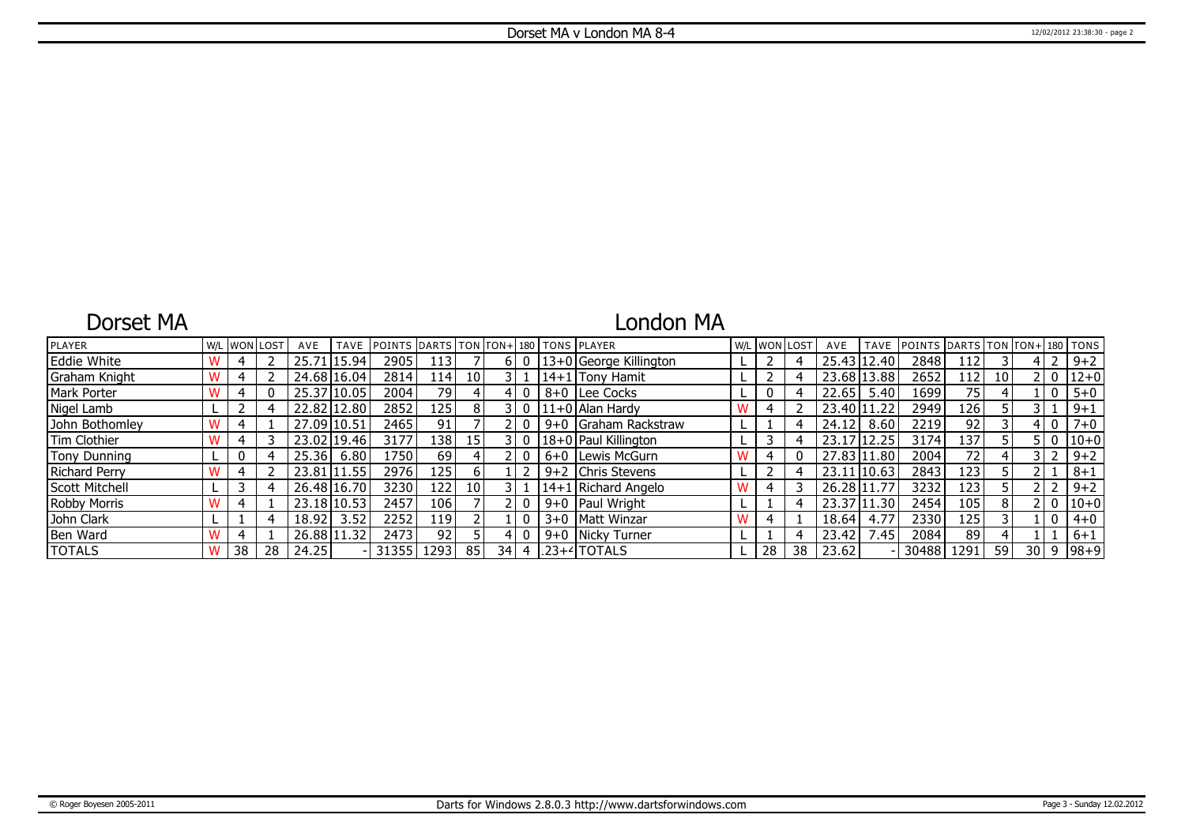## Dorset MA

## London MA

| <b>PLAYER</b>       |    | W/L   WON   LOST | AVE         | <b>TAVE</b> | POINTS DARTS TON TON+ 180 TONS PLAYER |                 |                 |    |  |                                 |   |    | W/L WON LOST | AVE         |       | TAVE POINTS DARTS TON TON+ 180 TONS |      |                 |              |                   |
|---------------------|----|------------------|-------------|-------------|---------------------------------------|-----------------|-----------------|----|--|---------------------------------|---|----|--------------|-------------|-------|-------------------------------------|------|-----------------|--------------|-------------------|
| <b>Eddie White</b>  |    |                  | 25.71       | 15.94       | 2905                                  | 113             |                 |    |  | 13+0 George Killington          |   |    |              | 25.43       | 12.40 | 2848                                | 112  |                 |              | $9 + 2$           |
| Graham Knight       |    |                  |             | 24.68 16.04 | 2814                                  | 114 l           | 10 I            |    |  | 14+1 Tony Hamit                 |   |    |              | 23.68 13.88 |       | 2652                                | 112  | 10 <sup>1</sup> | 2 I O        | $12+0$            |
| Mark Porter         |    |                  |             | 25.37 10.05 | 2004                                  | 79              |                 |    |  | 8+0 Lee Cocks                   | ┕ |    |              | 22.65       | 5.40  | 1699                                | 75   |                 | $\mathbf{0}$ | $5 + 0$           |
| Nigel Lamb          |    |                  |             | 22.82 12.80 | 2852                                  | 125             | 8               |    |  | 11+0 Alan Hardy                 |   |    |              | 23.40 11.22 |       | 2949                                | 126  |                 |              | $9 + 1$           |
| John Bothomley      |    |                  | 27.09 10.51 |             | 2465                                  | 91 <sub>1</sub> |                 |    |  | 9+0 Graham Rackstraw            |   |    |              | 24.12       | 8.60  | 2219                                | 92   |                 | 4 I O        | $7 + 0$           |
| Tim Clothier        |    |                  |             | 23.02 19.46 | 3177                                  | 138 l           | 15 <sup>1</sup> |    |  | 18+0 Paul Killington            |   |    |              | 23.17 12.25 |       | 3174                                | 137' |                 | 5 I O        | $ 10+0$           |
| <b>Tony Dunning</b> |    |                  | 25.36       | 6.80        | .7501                                 | 69              |                 |    |  | 6+0   Lewis McGurn              |   |    |              | 27.83 11.80 |       | 2004                                | 72   |                 |              | $9 + 2$           |
| Richard Perry       |    |                  | 23.81       | 111.55      | 2976                                  | 125 l           | ы               |    |  | 9+2 Chris Stevens               |   |    |              | 23.11 10.63 |       | 2843                                | 123  |                 |              | $8 + 1$           |
| Scott Mitchell      |    |                  | 26.48 16.70 |             | 3230                                  | 122 l           | 10 <sup>1</sup> |    |  | 14+1 Richard Angelo             |   |    |              | 26.28 11.77 |       | 3232                                | 123  |                 |              | $9 + 2$           |
| <b>Robby Morris</b> |    |                  |             | 23.18 10.53 | 2457                                  | 106 l           |                 |    |  | 9+0   Paul Wright               |   |    |              | 23.37 11.30 |       | 2454                                | 105  | 8 <sup>1</sup>  | 0 וי         | $ 10+0 $          |
| John Clark          |    |                  | 18.92       | 3.52        | 2252                                  | 119 l           |                 |    |  | 3+0   Matt Winzar               |   |    |              | 18.64       | 4.77  | 2330                                | 125  |                 | $\mathbf{0}$ | $4 + 0$           |
| Ben Ward            |    |                  |             | 26.88 11.32 | 2473                                  | 92 <sub>l</sub> |                 |    |  | 9+0 Nicky Turner                |   |    |              | 23.42       | 7.45  | 2084                                | 89   |                 |              | $6 + 1$           |
| <b>TOTALS</b>       | 38 | 28               | 24.25       |             | 31355                                 | 1293            | 85              | 34 |  | $\lfloor 23 + 4 \rfloor$ TOTALS |   | 28 | 38           | 23.62       |       | 30488                               | 1291 | 59              |              | $30   9   98 + 9$ |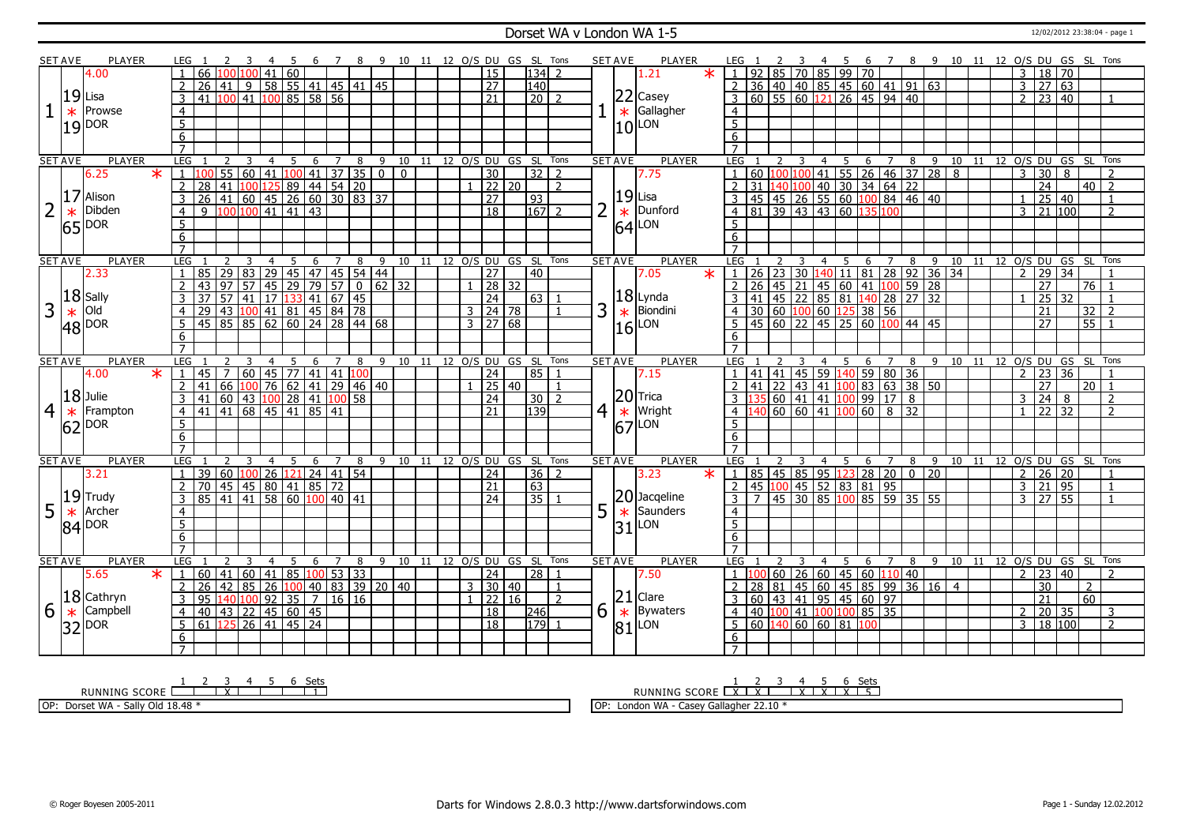#### Dorset WA v London WA 1-5 12/02/2012 23:38:04 - page 1

|   | <b>SET AVE</b> | <b>PLAYER</b>           | LEG 1                                                                                                           | -5                                                                                                |                     |   | 6 7 8 9 10 11 12 O/S DU GS SL Tons            |                |                 |                |                | <b>SET AVE</b><br><b>PLAYER</b>                                      | LEG 1                                | <sup>2</sup><br>-4                                                                                              | - 5 | 6 7 8 9 10 11 12 O/S DU GS SL Tons     |   |                                |  |                |                 |                            |                                    |                          |
|---|----------------|-------------------------|-----------------------------------------------------------------------------------------------------------------|---------------------------------------------------------------------------------------------------|---------------------|---|-----------------------------------------------|----------------|-----------------|----------------|----------------|----------------------------------------------------------------------|--------------------------------------|-----------------------------------------------------------------------------------------------------------------|-----|----------------------------------------|---|--------------------------------|--|----------------|-----------------|----------------------------|------------------------------------|--------------------------|
|   |                | 4.00                    | $\overline{66}$ 100 100 41                                                                                      | 60                                                                                                |                     |   | $\overline{15}$                               |                | $ 134 $ 2       |                |                | $\ast$<br>1.21                                                       | $\cdot$ 1                            | 92 85 70 85 99 70                                                                                               |     |                                        |   |                                |  | $\mathbf{3}$   |                 | 18 70                      |                                    |                          |
|   |                |                         | $\overline{2}$<br>26<br>l 41 l                                                                                  | $9$ 58 55 41 45 41 45                                                                             |                     |   | $\overline{27}$                               |                | 140             |                |                |                                                                      |                                      | $2$ 36 40 40 85 45 60 41 91 63                                                                                  |     |                                        |   |                                |  |                | $3 \ 27 \ 63$   |                            |                                    |                          |
|   |                | $ 19 $ Lisa             | $\frac{1}{100}$ 41<br>3<br>41                                                                                   | 100 85 58 56                                                                                      |                     |   | 21                                            |                | $\overline{20}$ | $\overline{z}$ |                | $22$ Casey                                                           |                                      | $3   60   55   60   121   26   45   94   40$                                                                    |     |                                        |   |                                |  | $\mathcal{P}$  | 23              | 40                         |                                    |                          |
|   | $\ast$         | Prowse                  | $\overline{4}$                                                                                                  |                                                                                                   |                     |   |                                               |                |                 |                |                | Gallagher<br>$\ast$                                                  | $\overline{4}$                       |                                                                                                                 |     |                                        |   |                                |  |                |                 |                            |                                    |                          |
|   |                |                         |                                                                                                                 |                                                                                                   |                     |   |                                               |                |                 |                |                |                                                                      | $\overline{5}$                       |                                                                                                                 |     |                                        |   |                                |  |                |                 |                            |                                    |                          |
|   |                | $19$ $19$ $19$          | $\frac{5}{6}$                                                                                                   |                                                                                                   |                     |   |                                               |                |                 |                |                | $ 10 $ LON                                                           | 6                                    |                                                                                                                 |     |                                        |   |                                |  |                |                 |                            |                                    |                          |
|   |                |                         | $\overline{7}$                                                                                                  |                                                                                                   |                     |   |                                               |                |                 |                |                |                                                                      | $\overline{7}$                       |                                                                                                                 |     |                                        |   |                                |  |                |                 |                            |                                    |                          |
|   | <b>SET AVE</b> | <b>PLAYER</b>           | LEG<br>3<br>2                                                                                                   | $\overline{4}$                                                                                    |                     |   | 5 6 7 8 9 10 11 12 O/S DU GS SL Tons          |                |                 |                |                | <b>SET AVE</b><br><b>PLAYER</b>                                      | <b>LEG</b>                           | $\overline{4}$<br>$\overline{2}$<br>$\overline{\mathbf{3}}$                                                     |     | 5 6 7 8 9 10 11 12 O/S DU GS SL Tons   |   |                                |  |                |                 |                            |                                    |                          |
|   |                | 6.25<br>$\ast$          |                                                                                                                 | 55 60 41 100 41 37 35 0 0                                                                         |                     |   | $\overline{30}$                               |                | $32$   2        |                |                | 7.75                                                                 |                                      |                                                                                                                 |     |                                        |   |                                |  | 3              | $\overline{30}$ | 8                          |                                    | $\overline{z}$           |
|   |                |                         | $\overline{2}$<br>28<br>41<br>100                                                                               | $125 \overline{\smash{)}89} \overline{\smash{)}44} \overline{\smash{)}54} \overline{\smash{)}20}$ |                     |   |                                               | 22 20          |                 | $\mathcal{L}$  |                |                                                                      |                                      | $\frac{1}{2}$   60   100   100   41   55   26   46   37   28   8<br>2   31   140   100   40   30   34   64   22 |     |                                        |   |                                |  |                | $\overline{24}$ |                            | $40$   2                           |                          |
|   |                | 17 Alison               | 3<br>$\overline{26}$                                                                                            | $141$ 60 45 26 60 30 83 37                                                                        |                     |   | $\overline{27}$                               |                | $\sqrt{93}$     |                |                | 19 <br>Lisa                                                          | 3                                    | 45 45 26 55 60 100 84 46 40                                                                                     |     |                                        |   |                                |  | $\mathbf{1}$   |                 | 25   40                    |                                    |                          |
| 2 |                | Dibden                  | $\mathsf{q}$                                                                                                    | $100 100 $ 41   41   43                                                                           |                     |   | $\overline{18}$                               |                | 167             | $\overline{2}$ |                | Dunford                                                              |                                      | 4 81 39 43 43 60 135 100                                                                                        |     |                                        |   |                                |  | $\overline{3}$ |                 | 21 100                     |                                    | $\overline{\phantom{a}}$ |
|   | $\ast$         |                         | $\overline{4}$<br>$\overline{5}$                                                                                |                                                                                                   |                     |   |                                               |                |                 |                |                | $\left  \begin{smallmatrix} \ast \ * \ 64 \end{smallmatrix} \right $ | 5                                    |                                                                                                                 |     |                                        |   |                                |  |                |                 |                            |                                    |                          |
|   |                | $ 65 ^{DOR}$            |                                                                                                                 |                                                                                                   |                     |   |                                               |                |                 |                |                | LON                                                                  |                                      |                                                                                                                 |     |                                        |   |                                |  |                |                 |                            |                                    |                          |
|   |                |                         | 6<br>$\overline{7}$                                                                                             |                                                                                                   |                     |   |                                               |                |                 |                |                |                                                                      | 6<br>$\overline{7}$                  |                                                                                                                 |     |                                        |   |                                |  |                |                 |                            |                                    |                          |
|   |                |                         |                                                                                                                 |                                                                                                   |                     |   |                                               |                |                 |                |                |                                                                      |                                      |                                                                                                                 |     |                                        |   |                                |  |                |                 | 11 12 0/S DU GS SL Tons    |                                    |                          |
|   | <b>SET AVE</b> | <b>PLAYER</b><br>2.33   | LEG<br>$\overline{29}$<br>83<br>85<br>$\mathbf{1}$                                                              | $\overline{4}$<br>5<br>6<br>29 45 47 45 54 44                                                     | $\overline{7}$<br>8 | 9 | 10 11 12 O/S DU GS SL Tons<br>$\overline{27}$ |                | 40              |                |                | <b>SET AVE</b><br><b>PLAYER</b><br>7.05<br>$\ast$                    | LEG                                  | $\overline{4}$                                                                                                  | 5   | 6<br>$\overline{J}$                    | 8 | $9 \overline{10}$              |  | $\overline{2}$ |                 | 29 34                      |                                    |                          |
|   |                |                         | $\overline{2}$<br>$\overline{43}$<br>97<br>57                                                                   |                                                                                                   |                     |   |                                               | $\sqrt{28}$ 32 |                 |                |                |                                                                      |                                      |                                                                                                                 |     |                                        |   |                                |  |                | $\overline{27}$ |                            | $\overline{76}$                    |                          |
|   |                | $ 18 $ Sally            | 57   41  <br>3<br>37                                                                                            |                                                                                                   |                     |   | 24                                            |                | 63 1            |                |                | $ 18 $ Lynda                                                         |                                      |                                                                                                                 |     |                                        |   |                                |  |                | $\overline{25}$ | $\overline{32}$            |                                    |                          |
| 3 |                | Old                     |                                                                                                                 | 43 100 41 81 45 84 78                                                                             |                     |   | $3 \mid 24 \mid 78$                           |                |                 |                |                | Biondini                                                             |                                      |                                                                                                                 |     |                                        |   |                                |  |                | $\overline{21}$ |                            |                                    | $\overline{2}$           |
|   | $\ast$         |                         | 29<br>$\overline{4}$<br>45 85 85 62 60 24 28 44 68                                                              |                                                                                                   |                     |   |                                               |                |                 | 3              |                | $\ast$                                                               |                                      | $4$ 30 60 100 60 125 38 56<br>$\frac{1}{5}$   45   60   22   45   25   60   100   44   45                       |     |                                        |   |                                |  |                | $\overline{27}$ |                            | $\overline{32}$<br>$\overline{55}$ |                          |
|   |                | $48$ $\overline{)}$ DOR | $\overline{5}$                                                                                                  |                                                                                                   |                     |   | $3 \mid 27 \mid 68$                           |                |                 |                |                | LON<br>16l                                                           |                                      |                                                                                                                 |     |                                        |   |                                |  |                |                 |                            |                                    |                          |
|   |                |                         | 6                                                                                                               |                                                                                                   |                     |   |                                               |                |                 |                |                |                                                                      | 6<br>$\overline{7}$                  |                                                                                                                 |     |                                        |   |                                |  |                |                 |                            |                                    |                          |
|   |                | <b>PLAYER</b>           | $\overline{7}$                                                                                                  |                                                                                                   |                     |   | 9 10 11 12 0/S DU GS SL                       |                |                 | Tons           |                | <b>PLAYER</b>                                                        |                                      |                                                                                                                 |     |                                        |   |                                |  |                |                 |                            |                                    |                          |
|   | <b>SET AVE</b> | $\ast$<br>4.00          | LEG 1<br>60   45  <br>$\overline{7}$<br>45                                                                      | 6<br>77 41 41 100                                                                                 | $\overline{7}$<br>8 |   | 24                                            |                | l 85 l          |                | <b>SET AVE</b> | 7.15                                                                 | LEG<br>  41   41  <br>$\overline{1}$ | 45 <sup>1</sup>                                                                                                 |     | 6<br>$\overline{7}$<br>59 140 59 80 36 |   | 8 9 10 11 12 O/S DU GS SL Tons |  | $\overline{z}$ | 23              | 36                         |                                    |                          |
|   |                |                         | $\overline{2}$<br>66<br>41                                                                                      | $100$ 76 62 41 29 46 40                                                                           |                     |   |                                               | 25 40          |                 |                |                |                                                                      |                                      | 41   22   43   41   100   83   63   38   50                                                                     |     |                                        |   |                                |  |                | 27              |                            | 20 <sup>1</sup>                    |                          |
|   |                | $ 18 $ Julie            | 41                                                                                                              | 60   43   <mark>100</mark>   28   41   <mark>100</mark>   58                                      |                     |   |                                               |                |                 |                |                | $ 20 $ Trica                                                         |                                      | <mark>.35</mark> 60   41   41   <mark>100</mark>   99   17   8                                                  |     |                                        |   |                                |  |                | 24              | 8                          |                                    | 2                        |
| 4 | $\ast$         |                         |                                                                                                                 |                                                                                                   |                     |   |                                               |                |                 |                |                |                                                                      |                                      |                                                                                                                 |     |                                        |   |                                |  |                |                 |                            |                                    | $\overline{2}$           |
|   |                |                         | 3                                                                                                               |                                                                                                   |                     |   | $\overline{24}$                               |                | 30 <sub>1</sub> |                |                |                                                                      |                                      |                                                                                                                 |     |                                        |   |                                |  | 3              |                 |                            |                                    |                          |
|   |                | Frampton                | $41 \overline{)41} \overline{)68} \overline{)45} \overline{)41} \overline{85} \overline{)41}$<br>$\overline{4}$ |                                                                                                   |                     |   | 21                                            |                | 139             |                | 4              | Wright<br>$ \ast $                                                   |                                      | $4 \overline{)140}$ 60 60 41 100 60 8 32                                                                        |     |                                        |   |                                |  | $\overline{1}$ | $\sqrt{22}$ 32  |                            |                                    |                          |
|   |                |                         | $5\overline{)}$                                                                                                 |                                                                                                   |                     |   |                                               |                |                 |                |                | 67<br>LON                                                            | 5                                    |                                                                                                                 |     |                                        |   |                                |  |                |                 |                            |                                    |                          |
|   |                | $ 62 ^{DOR}$            | $6 \overline{}$                                                                                                 |                                                                                                   |                     |   |                                               |                |                 |                |                |                                                                      | 6                                    |                                                                                                                 |     |                                        |   |                                |  |                |                 |                            |                                    |                          |
|   |                |                         | $\overline{7}$                                                                                                  |                                                                                                   |                     |   |                                               |                |                 |                |                |                                                                      | $\overline{7}$                       |                                                                                                                 |     |                                        |   |                                |  |                |                 |                            |                                    |                          |
|   | <b>SET AVE</b> | PLAYER                  | LEG                                                                                                             | 4<br>5<br>6                                                                                       | 7<br>8              |   | 9 10 11 12 O/S DU GS SL                       |                |                 | Tons           |                | <b>PLAYER</b><br><b>SET AVE</b>                                      | LEG                                  | 3<br>$\overline{4}$                                                                                             | 5   | $\overline{7}$<br>6                    |   | 8 9 10 11 12 0/S DU GS SL      |  |                |                 |                            |                                    | Tons                     |
|   |                | 3.21                    | $\overline{60}$<br>$\overline{39}$<br>$\mathbf{1}$                                                              | 100 26 121 24 41 54                                                                               |                     |   | 24                                            |                | $36 \mid 2$     |                |                | $\star$<br>3.23                                                      |                                      | $1   85   45   85   95   123   28   20   0   20$                                                                |     |                                        |   |                                |  | 2              |                 | 26 20                      |                                    | $\mathbf{1}$             |
|   |                |                         | $\overline{2}$<br>70                                                                                            | 45   45   80   41   85   72                                                                       |                     |   | $\overline{21}$                               |                | 63              |                |                |                                                                      |                                      | 2 45 100 45 52 83 81 95                                                                                         |     |                                        |   |                                |  | 3              | 21              | $\overline{95}$            |                                    | 1                        |
|   |                | $ 19 $ Trudy            | 85<br>$\boxed{41}$ $\boxed{41}$<br>$\overline{3}$                                                               | $\overline{58}$<br>60 100 40 41                                                                   |                     |   | 24                                            |                | 35              |                |                | 20 Jacqeline                                                         | ند                                   | 45 30 85 100 85 59 35 55                                                                                        |     |                                        |   |                                |  | $\overline{3}$ | 27              | 55                         |                                    | $\mathbf{1}$             |
| 5 | $\ast$         | Archer                  | $\overline{4}$                                                                                                  |                                                                                                   |                     |   |                                               |                |                 | 5              |                | $\ast$<br>Saunders                                                   | $\overline{4}$                       |                                                                                                                 |     |                                        |   |                                |  |                |                 |                            |                                    |                          |
|   |                | $ 84 ^{DOR}$            | $\overline{5}$                                                                                                  |                                                                                                   |                     |   |                                               |                |                 |                |                | LON<br>31                                                            | $\overline{5}$                       |                                                                                                                 |     |                                        |   |                                |  |                |                 |                            |                                    |                          |
|   |                |                         | 6                                                                                                               |                                                                                                   |                     |   |                                               |                |                 |                |                |                                                                      | 6                                    |                                                                                                                 |     |                                        |   |                                |  |                |                 |                            |                                    |                          |
|   |                |                         | $\overline{7}$                                                                                                  |                                                                                                   |                     |   |                                               |                |                 |                |                |                                                                      |                                      |                                                                                                                 |     |                                        |   |                                |  |                |                 |                            |                                    |                          |
|   | <b>SET AVE</b> | <b>PLAYER</b>           | <b>LEG</b>                                                                                                      | 5<br>6<br>$\overline{4}$                                                                          | $\overline{7}$<br>8 |   | 9 10 11 12 0/S DU GS SL                       |                |                 | Tons           | <b>SET AVE</b> | <b>PLAYER</b>                                                        | LEG                                  | $\overline{4}$                                                                                                  | 5   | $\overline{7}$<br>6                    | 8 | -9                             |  |                |                 | 10 11 12 O/S DU GS SL Tons |                                    |                          |
|   |                | 5.65<br>$\ast$          | 60                                                                                                              | 41 60 41 85 100 53 33                                                                             |                     |   | $\overline{24}$                               |                | 28              |                |                | 7.50                                                                 |                                      | 60   26   60   45   60   110   40                                                                               |     |                                        |   |                                |  | $\overline{2}$ |                 | 23 40                      |                                    |                          |
|   |                |                         | 42<br> 85 <br>2<br>26                                                                                           | $100$ 40 83 39 20 40<br>26                                                                        |                     |   | 3   30   40                                   |                |                 |                |                |                                                                      | 28                                   | 81   45   60   45   85   99   36   16   4                                                                       |     |                                        |   |                                |  |                | 30              |                            | 2                                  |                          |
|   |                | $ 18 $ Cathryn          | 3<br>95                                                                                                         | 140 100 92 35 7 16 16                                                                             |                     |   |                                               | 22 16          |                 | $\overline{2}$ |                | 21<br>Clare                                                          |                                      | 3   60   43   41   95   45   60   97                                                                            |     |                                        |   |                                |  |                | $\overline{21}$ |                            | 60                                 |                          |
| 6 | $\ast$         | Campbell                | $\overline{4}$<br>40                                                                                            | 43 22 45 60 45                                                                                    |                     |   | $\overline{18}$                               |                | 246             | 6              |                | <b>Bywaters</b><br>$\ast$                                            |                                      | 4 40 100 41 100 100 85 35                                                                                       |     |                                        |   |                                |  | 2              |                 | 20 35                      |                                    | 3                        |
|   |                | 32 DOR                  | $61$ 125 26 41 45 24<br>5 <sup>1</sup>                                                                          |                                                                                                   |                     |   | $\overline{18}$                               |                | 179             | $\overline{1}$ |                | LON<br>81                                                            |                                      | 5   60   140   60   60   81   100                                                                               |     |                                        |   |                                |  | $\overline{3}$ |                 | 18 100                     |                                    | $\overline{2}$           |
|   |                |                         | 6<br>$\overline{7}$                                                                                             |                                                                                                   |                     |   |                                               |                |                 |                |                |                                                                      | 6<br>$\overline{7}$                  |                                                                                                                 |     |                                        |   |                                |  |                |                 |                            |                                    |                          |

RUNNING SCORE 1 2 3 X 4 5 6 Sets 1 OP: Dorset WA - Sally Old 18.48 \*

RUNNING SCORE 1 X 2 X 3 4 X 5 X 6 X Sets 5

OP: London WA - Casey Gallagher 22.10 \*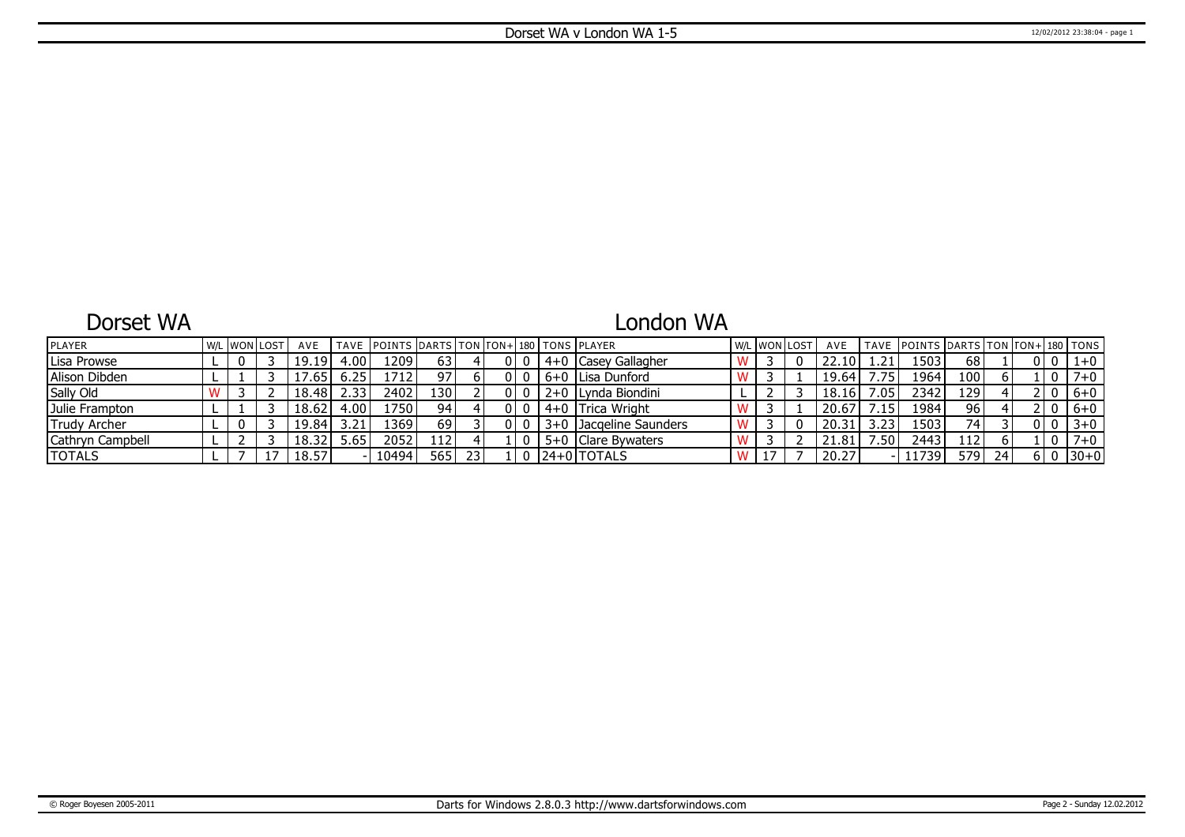## Dorset WA

# London WA

| PLAYER              |  | W/L WON LOST | AVE    |       | TAVE IPOINTS IDARTS ITON ITON+1180 ITONS IPLAYER |                  |    |  |              |                     |  | W/L WON LOST | AVE   |                  | TAVE POINTS DARTS TON FON+180 TONS |                  |    |  |          |
|---------------------|--|--------------|--------|-------|--------------------------------------------------|------------------|----|--|--------------|---------------------|--|--------------|-------|------------------|------------------------------------|------------------|----|--|----------|
| Lisa Prowse         |  |              | 19.19  | 4.00  | 1209'                                            | 63               |    |  | $4+0$ $\mid$ | Casey Gallagher     |  |              | 22.10 |                  | 503ء                               | 68               |    |  | $1 + 0$  |
| Alison Dibden       |  |              | 4.65   | 6.25  | 1712                                             | 97 <sub>1</sub>  |    |  |              | l 6+0 ILisa Dunford |  |              | 19.64 | .75              | 1964                               | 100              |    |  | $7+0$    |
| Sally Old           |  |              | 18.48  | 2.33' | 2402                                             | 130 <sup>1</sup> |    |  |              | 2+0 Lynda Biondini  |  |              | 18.16 | .05              | 2342                               | 129'             |    |  | $6+0$    |
| Julie Frampton      |  |              | 18.62  | 4.00  | 1750 l                                           | 94 <sub>1</sub>  |    |  |              | 4+0 Trica Wright    |  |              | 20.67 | .15              | 1984                               | 96               |    |  | $6+0$    |
| <b>Trudy Archer</b> |  |              | 19.84' | 3.21  | 1369'                                            | 69'              |    |  | ≒3+0 L       | LJacgeline Saunders |  |              | 20.31 | つつ               | 503′                               | 74               |    |  | $3 + 0$  |
| Cathryn Campbell    |  |              | 18.32  | ა.ხ5  | 2052                                             | 112              |    |  |              | 5+0 Clare Bywaters  |  |              | 21.81 | .50 <sub>1</sub> | 2443                               | 112 <sup>1</sup> |    |  | $7 + 0$  |
| <b>TOTALS</b>       |  |              | 18.57  |       | 10494                                            | 565 I            | 23 |  |              | l24+0lTOTALS        |  |              | 20.27 |                  | 11739                              | 579              | 24 |  | $ 30+0 $ |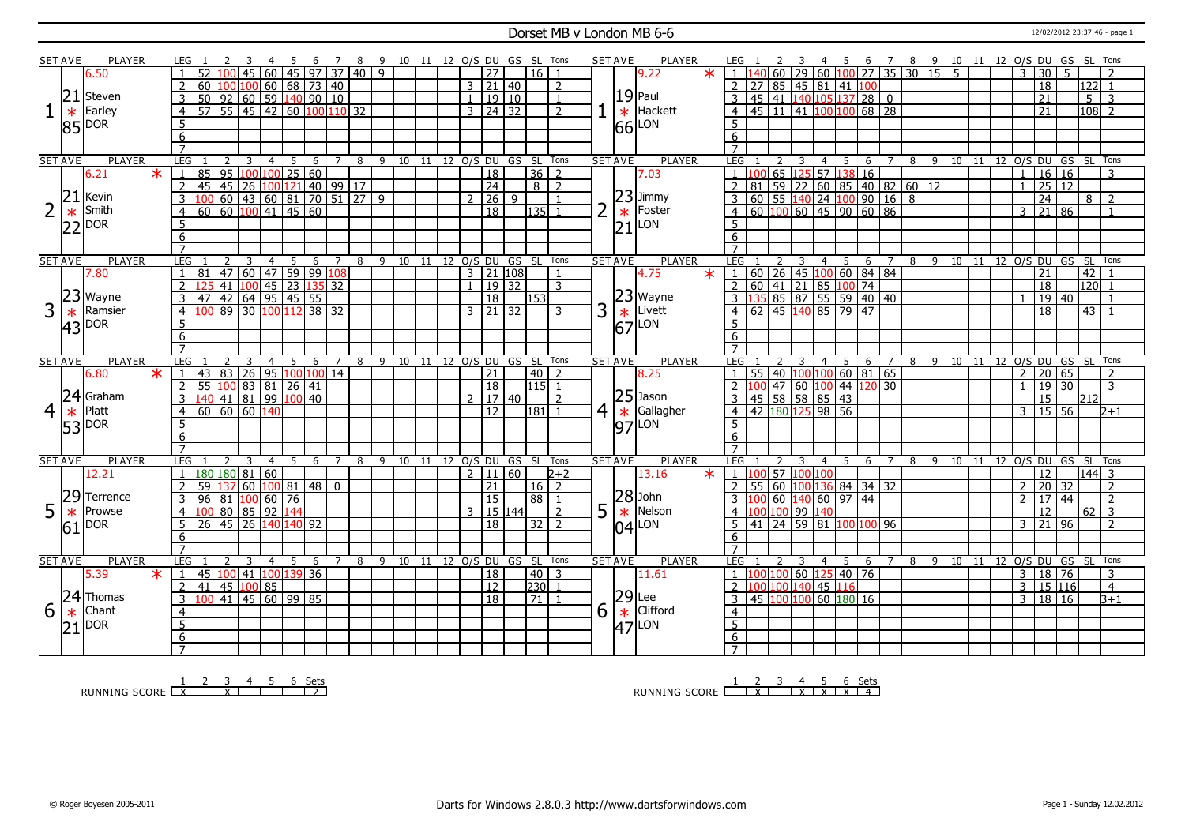#### **Dorset MB v London MB 6-6** 12/02/2012 23:37:46 - page 1

|                | <b>SET AVE</b>  | PLAYER                |         | LEG 1                                           |                 |                       | -5<br>- 6                                      |                | 78 |                           | 9 10 11 12 O/S DU GS SL Tons       |  |                      |                  |                |   | <b>SET AVE</b><br>PLAYER                                                    |         | LEG 1                                                        |    | <sup>2</sup>   | 3                       |                |                                    | 4 5 6 7 8 9 10 11 12 O/S DU GS SL Tons                           |                |    |                             |    |                |                 |                     |                |                                        |
|----------------|-----------------|-----------------------|---------|-------------------------------------------------|-----------------|-----------------------|------------------------------------------------|----------------|----|---------------------------|------------------------------------|--|----------------------|------------------|----------------|---|-----------------------------------------------------------------------------|---------|--------------------------------------------------------------|----|----------------|-------------------------|----------------|------------------------------------|------------------------------------------------------------------|----------------|----|-----------------------------|----|----------------|-----------------|---------------------|----------------|----------------------------------------|
|                |                 | 6.50                  |         |                                                 | $45 \vert$      | 60                    | $45 \mid 97 \mid 37 \mid 40 \mid 9$            |                |    |                           |                                    |  | $\overline{27}$      | 16 <sup>1</sup>  |                |   | 9.22                                                                        | $\star$ |                                                              |    |                |                         |                |                                    | $\frac{1}{1}$   140   60   29   60   100   27   35   30   15   5 |                |    |                             |    | $\mathbf{3}$   | 30 <sup>1</sup> | 5.                  |                |                                        |
|                |                 |                       |         | $\overline{2}$<br>60                            |                 |                       | $100 100 $ 60   68   73   40                   |                |    |                           |                                    |  | $3 \mid 21 \mid 40$  |                  | $\overline{2}$ |   |                                                                             |         |                                                              |    |                |                         |                |                                    | 2 27 85 45 81 41 100                                             |                |    |                             |    |                | $\overline{18}$ |                     | $122$ 1        |                                        |
|                |                 | $21$ Steven           |         | 50 92 60 59 140 90 10<br>$\mathsf{3}$           |                 |                       |                                                |                |    |                           |                                    |  | 1   19   10          |                  |                |   | $19$ Paul                                                                   |         |                                                              |    |                |                         |                |                                    | $3   45   41   140   105   137   28   0$                         |                |    |                             |    |                | $\overline{21}$ |                     | 5 <sup>5</sup> | -3                                     |
|                | $\ast$          | Earley                |         | 57 55 45 42 60 100 110 32<br>$\overline{4}$     |                 |                       |                                                |                |    |                           |                                    |  | $3 \mid 24 \mid 32$  |                  | $\overline{2}$ |   | Hackett<br>$\ast$                                                           |         |                                                              |    |                |                         |                |                                    | $4   45   11   41   100   100   68   28$                         |                |    |                             |    |                | $\overline{21}$ |                     |                | $108$ 2                                |
|                |                 |                       |         | $5\overline{)}$                                 |                 |                       |                                                |                |    |                           |                                    |  |                      |                  |                |   | LON                                                                         |         | 5 <sup>5</sup>                                               |    |                |                         |                |                                    |                                                                  |                |    |                             |    |                |                 |                     |                |                                        |
|                |                 | $ 85 ^{DOR}$          |         | 6                                               |                 |                       |                                                |                |    |                           |                                    |  |                      |                  |                |   | 66                                                                          |         | 6                                                            |    |                |                         |                |                                    |                                                                  |                |    |                             |    |                |                 |                     |                |                                        |
|                |                 |                       |         | $\overline{7}$                                  |                 |                       |                                                |                |    |                           |                                    |  |                      |                  |                |   |                                                                             |         |                                                              |    |                |                         |                |                                    |                                                                  |                |    |                             |    |                |                 |                     |                |                                        |
|                | <b>SET AVE</b>  | <b>PLAYER</b>         |         | LEG <sub>1</sub><br>2                           | $\overline{3}$  | $\overline{4}$        | 5                                              |                |    |                           | 6 7 8 9 10 11 12 0/S DU GS SL Tons |  |                      |                  |                |   | <b>SET AVE</b><br><b>PLAYER</b>                                             |         | LEG 1                                                        |    | 2 3            |                         |                |                                    |                                                                  |                |    |                             |    |                |                 |                     |                | 4 5 6 7 8 9 10 11 12 O/S DU GS SL Tons |
|                |                 | 6.21                  | $\star$ | 85                                              | 95 100 100      |                       | 25 60                                          |                |    |                           |                                    |  | $\overline{18}$      | 36               | $\overline{2}$ |   | 7.03                                                                        |         | -1 h                                                         |    | 65 1           |                         |                |                                    | $\overline{25}$ 57 138 16                                        |                |    |                             |    | $\overline{1}$ |                 | 16 16               |                |                                        |
|                |                 |                       |         | 45 26<br>$\overline{2}$<br>45                   |                 |                       | 100 121 40 99 17                               |                |    |                           |                                    |  | $\overline{24}$      | 8 <sup>1</sup>   | $\overline{2}$ |   |                                                                             |         |                                                              | 81 |                |                         |                |                                    | 59 22 60 85 40 82 60 12                                          |                |    |                             |    |                |                 | 25 12               |                |                                        |
|                | 21              | Kevin                 |         | $\overline{3}$                                  |                 |                       | 60 43 60 81 70 51 27 9                         |                |    |                           |                                    |  | 2   26   9           |                  |                |   | $23$ Jimmy                                                                  |         |                                                              |    |                |                         |                |                                    | 3 60 55 140 24 100 90 16 8                                       |                |    |                             |    |                | $\overline{24}$ |                     | 8 <sup>1</sup> | $\sqrt{2}$                             |
| 2              |                 | Smith                 |         | 60<br>$\overline{4}$                            |                 |                       | $60 \ 100 \ 41 \ 45 \ 60$                      |                |    |                           |                                    |  | $\overline{18}$      | 135              |                |   | Foster                                                                      |         |                                                              |    |                |                         |                |                                    | 4   60   100   60   45   90   60   86                            |                |    |                             |    | 3              |                 | 21 86               |                |                                        |
|                | $\ast$          |                       |         | 5                                               |                 |                       |                                                |                |    |                           |                                    |  |                      |                  |                |   | $\ast$<br>LON                                                               |         | $5^{\circ}$                                                  |    |                |                         |                |                                    |                                                                  |                |    |                             |    |                |                 |                     |                |                                        |
|                |                 | $22$ DOR              |         | 6                                               |                 |                       |                                                |                |    |                           |                                    |  |                      |                  |                |   | 21                                                                          |         | 6                                                            |    |                |                         |                |                                    |                                                                  |                |    |                             |    |                |                 |                     |                |                                        |
|                |                 |                       |         | $\overline{7}$                                  |                 |                       |                                                |                |    |                           |                                    |  |                      |                  |                |   |                                                                             |         | $\overline{7}$                                               |    |                |                         |                |                                    |                                                                  |                |    |                             |    |                |                 |                     |                |                                        |
|                | <b>SET AVE</b>  | <b>PLAYER</b>         |         | <b>LEG</b>                                      |                 |                       |                                                | $7^{\circ}$    | 8  |                           | 9 10 11 12 0/S DU GS SL Tons       |  |                      |                  |                |   | <b>SET AVE</b><br><b>PLAYER</b>                                             |         | <b>LEG</b>                                                   |    |                |                         |                |                                    |                                                                  |                |    |                             |    |                |                 |                     |                | 4 5 6 7 8 9 10 11 12 O/S DU GS SL Tons |
|                |                 | 7.80                  |         | $\overline{47}$<br>81<br>$\mathbf{1}$           | 60              | $\overline{4}$<br> 47 | 5 <sup>5</sup><br>6<br>59   99   108           |                |    |                           |                                    |  | $3 \mid 21 \mid 108$ |                  | $\mathbf{1}$   |   | 4.75                                                                        | $\ast$  | $1 \t   60 \t   26 \t   45 \t   100 \t   60 \t   84 \t   84$ |    |                |                         |                |                                    |                                                                  |                |    |                             |    |                | 21              |                     | 42             |                                        |
|                |                 |                       |         | 41<br>$\overline{2}$                            |                 |                       | $\boxed{100}$ 45 $\boxed{23}$ $\boxed{135}$ 32 |                |    |                           |                                    |  | $1 \mid 19 \mid 32$  |                  | 3              |   |                                                                             |         | 2   60   41   21   85   100   74                             |    |                |                         |                |                                    |                                                                  |                |    |                             |    |                | 18              |                     | $120$ 1        |                                        |
|                |                 | $23$ Wayne            |         |                                                 |                 |                       | $\frac{12}{142}$ 64 95 45 55                   |                |    |                           |                                    |  |                      |                  |                |   | $23$ Wayne                                                                  |         |                                                              |    |                |                         |                |                                    | 3 135 85 87 55 59 40 40                                          |                |    |                             |    |                |                 |                     |                |                                        |
| 3              |                 |                       |         | 3<br>47                                         |                 |                       |                                                |                |    |                           |                                    |  | 18                   | 153              |                |   | Livett                                                                      |         |                                                              |    |                |                         |                |                                    |                                                                  |                |    |                             |    |                |                 | 19 40               |                |                                        |
|                | $\ast$          | Ramsier               |         | $\overline{4}$                                  |                 |                       | 89 30 100 112 38 32                            |                |    |                           |                                    |  | $3 \mid 21 \mid 32$  |                  | 3              | 3 | $\overline{67}$                                                             |         | $\overline{4}$                                               |    |                |                         |                | $\vert$ 62 45 $\vert$ 140 85 79 47 |                                                                  |                |    |                             |    |                | 18              |                     | 43             |                                        |
|                |                 | $ 43 $ <sup>DOR</sup> |         | $5\overline{)}$                                 |                 |                       |                                                |                |    |                           |                                    |  |                      |                  |                |   | LON                                                                         |         |                                                              |    |                |                         |                |                                    |                                                                  |                |    |                             |    |                |                 |                     |                |                                        |
|                |                 |                       |         | 6                                               |                 |                       |                                                |                |    |                           |                                    |  |                      |                  |                |   |                                                                             |         | 6                                                            |    |                |                         |                |                                    |                                                                  |                |    |                             |    |                |                 |                     |                |                                        |
|                |                 |                       |         | $\overline{7}$                                  |                 |                       |                                                |                |    |                           |                                    |  |                      |                  | Tons           |   | <b>SET AVE</b><br><b>PLAYER</b>                                             |         | $\overline{7}$<br>LEG                                        |    |                |                         | $\overline{4}$ |                                    |                                                                  |                |    |                             |    |                |                 |                     |                |                                        |
|                |                 |                       |         |                                                 |                 |                       |                                                |                |    |                           |                                    |  |                      |                  |                |   |                                                                             |         |                                                              |    |                |                         |                |                                    |                                                                  |                |    |                             |    |                |                 |                     |                |                                        |
|                | <b>SET AVE</b>  | <b>PLAYER</b>         |         | LEG                                             | 3               | 4                     | 5<br>6                                         | 7              |    | 8 9 10 11 12 0/S DU GS SL |                                    |  |                      |                  |                |   |                                                                             |         |                                                              |    |                |                         |                | - 5                                | 6                                                                | $\overline{z}$ | 89 | 10                          | 11 |                |                 |                     |                | 12 O/S DU GS SL Tons                   |
|                |                 | 6.80                  | $\ast$  | 43<br>$ 83\rangle$<br>$\overline{1}$            | $\overline{26}$ | 95                    | 100 100 14                                     |                |    |                           |                                    |  | 21                   | 40               | $\overline{z}$ |   | 8.25                                                                        |         | $\overline{1}$                                               |    |                |                         |                |                                    | 55 40 100 100 60 81 65                                           |                |    |                             |    | 2              |                 | 20 65               |                | $\overline{2}$                         |
|                |                 |                       |         | $\overline{2}$<br>55 100 83 81 26 41            |                 |                       |                                                |                |    |                           |                                    |  | <sup>18</sup>        | l115   1         |                |   |                                                                             |         | $2 \, 100$                                                   |    |                |                         |                |                                    | $\boxed{47}$ 60 $\boxed{100}$ 44 $\boxed{120}$ 30                |                |    |                             |    | $\overline{1}$ |                 | $19$ 30             |                | 3                                      |
|                |                 | $24$ Graham           |         | 140 41 81 99 100 40<br>$\mathbf{3}$             |                 |                       |                                                |                |    |                           |                                    |  | $2 \mid 17 \mid 40$  |                  | $\overline{2}$ |   | $25$ Jason                                                                  |         |                                                              |    |                |                         |                | 3   45   58   58   85   43         |                                                                  |                |    |                             |    |                | 15              |                     | 212            |                                        |
| $\overline{4}$ | $\ast$          | Platt                 |         | 60   60   60   140<br>$\overline{4}$            |                 |                       |                                                |                |    |                           |                                    |  | 12                   | l181  1          |                |   | $4 \times$<br>Gallagher                                                     |         | 4 42 180 125 98 56                                           |    |                |                         |                |                                    |                                                                  |                |    |                             |    | $\mathcal{E}$  |                 | 15 56               |                | 2+1                                    |
|                |                 |                       |         | 5                                               |                 |                       |                                                |                |    |                           |                                    |  |                      |                  |                |   | LON<br> 97                                                                  |         | 5 <sup>5</sup>                                               |    |                |                         |                |                                    |                                                                  |                |    |                             |    |                |                 |                     |                |                                        |
|                |                 | $ 53 ^{DOR}$          |         | 6                                               |                 |                       |                                                |                |    |                           |                                    |  |                      |                  |                |   |                                                                             |         | $6\overline{6}$                                              |    |                |                         |                |                                    |                                                                  |                |    |                             |    |                |                 |                     |                |                                        |
|                |                 |                       |         | $\overline{7}$                                  |                 |                       |                                                |                |    |                           |                                    |  |                      |                  |                |   |                                                                             |         | $\overline{7}$                                               |    |                |                         |                |                                    |                                                                  |                |    |                             |    |                |                 |                     |                |                                        |
|                | <b>SET AVE</b>  | PLAYER                |         | LEG                                             | 3               | $\overline{4}$        | .5.<br>- 6                                     | $\overline{7}$ | 8  |                           | 9 10 11 12 O/S DU GS SL Tons       |  |                      |                  |                |   | <b>PLAYER</b><br><b>SET AVE</b>                                             |         | LEG                                                          |    |                |                         | $\overline{4}$ | - 5                                | - 6                                                              | $\overline{7}$ | 89 | 10 11 12 O/S DU GS SL       |    |                |                 |                     |                | Tons                                   |
|                |                 | 12.21                 |         | 1  180 180 81 60                                |                 |                       |                                                |                |    |                           |                                    |  | $2 \mid 11 \mid 60$  |                  | $2 + 2$        |   | 13.16                                                                       | $\ast$  | $1\,1$                                                       |    | 57 100 100     |                         |                |                                    |                                                                  |                |    |                             |    |                | 12              |                     | $\sqrt{144}$ 3 |                                        |
|                |                 |                       |         | $2^{\circ}$<br>59                               |                 |                       | $137$ 60 $100$ 81 48 0                         |                |    |                           |                                    |  | $\overline{21}$      | 16 <sup>1</sup>  | $\overline{2}$ |   |                                                                             |         | $2 \mid 55 \mid$                                             |    |                |                         |                |                                    | 60 100 136 84 34 32                                              |                |    |                             |    | 2              |                 | 20 32               |                | 2                                      |
|                | 29              | Terrence              |         | 3<br>96<br>  81                                 | 100 60 76       |                       |                                                |                |    |                           |                                    |  | $\overline{15}$      | 88               |                |   |                                                                             |         |                                                              |    |                |                         |                | 60 140 60 97 44                    |                                                                  |                |    |                             |    | 2              | $\overline{17}$ | 44                  |                | 2                                      |
| 5              | $\ast$          | Prowse                |         | $\overline{4}$                                  | 80 85 92 144    |                       |                                                |                |    |                           |                                    |  | 3   15   144         |                  | $\overline{2}$ | 5 | $\begin{array}{ c c }\n 28{\rm\;John}\\ \hline \end{array}$ Nelso<br>Nelson |         | $\overline{4}$                                               |    | .00 100 99 140 |                         |                |                                    |                                                                  |                |    |                             |    |                | 12              |                     | 62             | $\overline{3}$                         |
|                | $\overline{61}$ | DOR                   |         | 26 45 26 140 140 92<br>5 <sup>1</sup>           |                 |                       |                                                |                |    |                           |                                    |  | $\overline{18}$      | $32$   2         |                |   | $04$ <sup>LON</sup>                                                         |         | 5 <sup>5</sup>                                               |    |                |                         |                |                                    | 41 24 59 81 100 100 96                                           |                |    |                             |    |                |                 | $3 \mid 21 \mid 96$ |                | $\overline{\phantom{a}}$               |
|                |                 |                       |         | 6                                               |                 |                       |                                                |                |    |                           |                                    |  |                      |                  |                |   |                                                                             |         | 6                                                            |    |                |                         |                |                                    |                                                                  |                |    |                             |    |                |                 |                     |                |                                        |
|                |                 |                       |         | $\overline{7}$                                  |                 |                       |                                                |                |    |                           |                                    |  |                      |                  |                |   |                                                                             |         | $\overline{7}$                                               |    |                |                         |                |                                    |                                                                  |                |    |                             |    |                |                 |                     |                |                                        |
|                | <b>SET AVE</b>  | PLAYER                |         | LEG<br>$\mathcal{L}$                            | 3               | $\overline{4}$        | 5                                              | 6 7            | 8  |                           | 9 10 11 12 O/S DU GS SL Tons       |  |                      |                  |                |   | <b>SET AVE</b><br><b>PLAYER</b>                                             |         | LEG 1                                                        |    | $\mathcal{L}$  | $\overline{\mathbf{3}}$ |                | 4 5 6                              |                                                                  |                |    | 7 8 9 10 11 12 0/S DU GS SL |    |                |                 |                     |                | Tons                                   |
|                |                 | 5.39                  | $\ast$  | 45 100 41 100 139 36<br>$\overline{1}$          |                 |                       |                                                |                |    |                           |                                    |  | 18                   | 40   3           |                |   | 11.61                                                                       |         |                                                              |    |                |                         |                |                                    | $1 \vert 100 \vert 100 \vert 60 \vert 125 \vert 40 \vert 76$     |                |    |                             |    | 3              |                 | 18 76               |                | 3                                      |
|                |                 |                       |         | $\overline{41}$<br>$2^{\circ}$                  | 45 100 85       |                       |                                                |                |    |                           |                                    |  | $\overline{12}$      | $ 230 $ 1        |                |   |                                                                             |         |                                                              |    |                |                         |                | 2 100 100 140 45 116               |                                                                  |                |    |                             |    | $\overline{3}$ |                 | 15 116              |                | $\overline{4}$                         |
|                |                 | $ 24 $ Thomas         |         | $\overline{100}$ 41 45 60 99 85<br>$\mathbf{3}$ |                 |                       |                                                |                |    |                           |                                    |  | $\overline{18}$      | $\frac{1}{21}$ 1 |                |   | 29 <br>Lee                                                                  |         | 3                                                            |    |                |                         |                |                                    | $\frac{145}{100}$ 100 100 60 180 16                              |                |    |                             |    |                |                 | 3   18   16         |                | $\overline{3+1}$                       |
| 6              | $\ast$          | Chant                 |         | $\overline{4}$                                  |                 |                       |                                                |                |    |                           |                                    |  |                      |                  |                | 6 | Clifford                                                                    |         | $\overline{4}$                                               |    |                |                         |                |                                    |                                                                  |                |    |                             |    |                |                 |                     |                |                                        |
|                |                 |                       |         | $\overline{5}$                                  |                 |                       |                                                |                |    |                           |                                    |  |                      |                  |                |   | LON                                                                         |         | $\overline{5}$                                               |    |                |                         |                |                                    |                                                                  |                |    |                             |    |                |                 |                     |                |                                        |
|                |                 | $ 21 $ <sup>DOR</sup> |         | 6<br>$7^{\circ}$                                |                 |                       |                                                |                |    |                           |                                    |  |                      |                  |                |   | $\frac{1}{47}$                                                              |         | 6<br>$7^{\circ}$                                             |    |                |                         |                |                                    |                                                                  |                |    |                             |    |                |                 |                     |                |                                        |

RUNNING SCORE <u>| X | X | | | | 2</u><br>RUNNING SCORE <u>| X | | X | | | | | 2</u>

1 2 3 4 5 6 Sets<br>RUNNING SCORE <u>| X | X | X | X | X</u>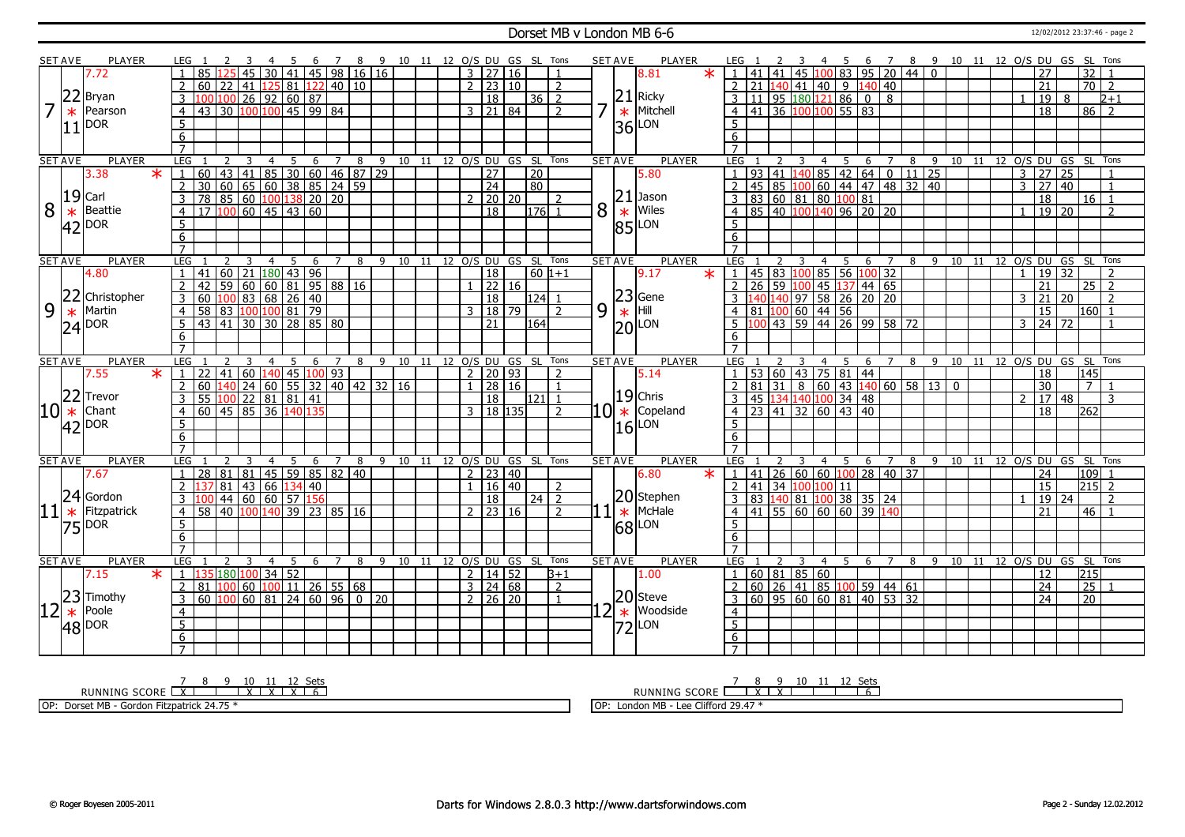#### Dorset MB v London MB 6-6 12/02/2012 23:37:46 - page 2

|    | SET AVE        | <b>PLAYER</b>                   |                         |                 |                                              |                          |                |     | -6  | <sup>7</sup>                                | 8 | - 9 |    |    |                | 10 11 12 O/S DU GS SL Tons                      |    |                 |                | <b>SET AVE</b> |                | <b>PLAYER</b>                                    | LEG                 |                 |                                          |                         |                                   |              | 6                           | 7                            |                                              |                                      | 8 9 10 11 12 0/S DU GS SL Tons |    |  |                |                            |             |                |                            |
|----|----------------|---------------------------------|-------------------------|-----------------|----------------------------------------------|--------------------------|----------------|-----|-----|---------------------------------------------|---|-----|----|----|----------------|-------------------------------------------------|----|-----------------|----------------|----------------|----------------|--------------------------------------------------|---------------------|-----------------|------------------------------------------|-------------------------|-----------------------------------|--------------|-----------------------------|------------------------------|----------------------------------------------|--------------------------------------|--------------------------------|----|--|----------------|----------------------------|-------------|----------------|----------------------------|
|    |                | 7.72                            |                         |                 |                                              |                          |                |     |     | 30 41 45 98 16 16                           |   |     |    |    |                | 3   27   16                                     |    |                 |                |                |                | $\ast$<br>8.81                                   |                     | 41              | 41                                       | 45                      |                                   |              |                             | $.00$ 83 95 20               |                                              | 440                                  |                                |    |  |                | 27                         |             | 32             |                            |
|    |                |                                 | $\overline{2}$          | 60              | 22                                           |                          |                |     |     | 41 125 81 122 40 10                         |   |     |    |    |                | $2 \mid 23 \mid 10$                             |    |                 | $\overline{2}$ |                |                |                                                  | $\overline{2}$      | 211             | 40                                       | 41                      |                                   | $\boxed{40}$ |                             | $140 \ 40$                   |                                              |                                      |                                |    |  |                | 21                         |             | 70             | $\overline{2}$             |
|    | 22             | Bryan                           | $\overline{3}$          | 100             | 100                                          | $26$ 92 60 87            |                |     |     |                                             |   |     |    |    |                | $\overline{18}$                                 |    | $36 \mid 2$     |                |                |                | $21$ Ricky                                       | 3                   | 11              |                                          |                         |                                   |              | 95   180   121   86   0     | $\overline{8}$               |                                              |                                      |                                |    |  |                | 19                         | 8           |                | $2 + 1$                    |
| 7  | $\ast$         | Pearson                         | $\overline{4}$          | 43              | 30 100 100 45 99 84                          |                          |                |     |     |                                             |   |     |    |    |                | $3 \mid 21 \mid 84$                             |    |                 | $\mathcal{L}$  |                | $\ast$         | Mitchell                                         | $\overline{4}$      |                 |                                          |                         |                                   |              | 41 36 100 100 55 83         |                              |                                              |                                      |                                |    |  |                | $\overline{18}$            |             | $86$   2       |                            |
|    |                |                                 |                         |                 |                                              |                          |                |     |     |                                             |   |     |    |    |                |                                                 |    |                 |                |                |                |                                                  |                     |                 |                                          |                         |                                   |              |                             |                              |                                              |                                      |                                |    |  |                |                            |             |                |                            |
|    | 11             | DOR                             | 5                       |                 |                                              |                          |                |     |     |                                             |   |     |    |    |                |                                                 |    |                 |                |                | 36l            | LON                                              | 5                   |                 |                                          |                         |                                   |              |                             |                              |                                              |                                      |                                |    |  |                |                            |             |                |                            |
|    |                |                                 | 6                       |                 |                                              |                          |                |     |     |                                             |   |     |    |    |                |                                                 |    |                 |                |                |                |                                                  | 6                   |                 |                                          |                         |                                   |              |                             |                              |                                              |                                      |                                |    |  |                |                            |             |                |                            |
|    |                |                                 | $\overline{7}$          |                 |                                              |                          |                |     |     |                                             |   |     |    |    |                |                                                 |    |                 |                |                |                |                                                  |                     |                 |                                          |                         |                                   |              |                             |                              |                                              |                                      |                                |    |  |                |                            |             |                |                            |
|    | <b>SET AVE</b> | <b>PLAYER</b><br>3.38<br>$\ast$ | LEG                     | 60              | 43 41 85 30 60 46 87 29                      | 3                        | $\overline{4}$ | 5   |     | $6 \quad 7 \quad 8$                         |   |     |    |    |                | 9 10 11 12 O/S DU GS SL Tons<br>$\overline{27}$ |    |                 |                |                | <b>SET AVE</b> | <b>PLAYER</b><br>5.80                            | LEG                 | $\overline{93}$ | $\overline{41}$                          |                         | $\overline{4}$<br>40 <sup>1</sup> | - 5          | 6                           | $\overline{7}$<br>85 42 64 0 | 8                                            | $\overline{9}$<br>$11 \overline{25}$ |                                |    |  |                | 27                         | 25          |                | 10 11 12 O/S DU GS SL Tons |
|    |                |                                 |                         |                 |                                              |                          |                |     |     |                                             |   |     |    |    |                |                                                 |    | $\overline{20}$ |                |                |                |                                                  |                     |                 |                                          |                         |                                   |              |                             |                              |                                              |                                      |                                |    |  | 3              |                            |             |                |                            |
|    |                |                                 | $\overline{2}$          | 30 <sup>°</sup> | $60$ 65 60 38 85 24 59                       |                          |                |     |     |                                             |   |     |    |    |                | $\overline{24}$                                 |    | 80              |                |                | 21             |                                                  |                     | 45              |                                          | 85 100                  |                                   |              |                             |                              | $60 \mid 44 \mid 47 \mid 48 \mid 32 \mid 40$ |                                      |                                |    |  | 3              | 27                         | $\sqrt{40}$ |                | $\mathbf{1}$               |
|    |                | $19$ Carl                       | $\overline{\mathbf{3}}$ |                 | 78 85 60 100 138 20 20<br>17 100 60 45 43 60 |                          |                |     |     |                                             |   |     |    |    | $\overline{2}$ | $\sqrt{20}$ 20                                  |    |                 | $\overline{2}$ |                |                | Jason                                            | 3                   |                 |                                          |                         |                                   |              | 83 60 81 80 100 81          |                              |                                              |                                      |                                |    |  |                | 18                         |             | $16$ 1         |                            |
| 8  | $\ast$         | Beattie                         | $\overline{4}$          |                 |                                              |                          |                |     |     |                                             |   |     |    |    |                | $\overline{18}$                                 |    | 176             | $\overline{1}$ | 8              | $\ast$         | Wiles                                            | $\overline{4}$      |                 |                                          |                         |                                   |              |                             |                              |                                              |                                      |                                |    |  | $\overline{1}$ | $19$   20                  |             |                | $\overline{\phantom{a}}$   |
|    | 42             | <b>DOR</b>                      | $\overline{5}$          |                 |                                              |                          |                |     |     |                                             |   |     |    |    |                |                                                 |    |                 |                |                | 85             | LON                                              | -5                  |                 |                                          |                         |                                   |              |                             |                              |                                              |                                      |                                |    |  |                |                            |             |                |                            |
|    |                |                                 | 6                       |                 |                                              |                          |                |     |     |                                             |   |     |    |    |                |                                                 |    |                 |                |                |                |                                                  | 6                   |                 |                                          |                         |                                   |              |                             |                              |                                              |                                      |                                |    |  |                |                            |             |                |                            |
|    |                |                                 | $\overline{7}$          |                 |                                              |                          |                |     |     |                                             |   |     |    |    |                |                                                 |    |                 |                |                |                |                                                  | $\overline{7}$      |                 |                                          |                         |                                   |              |                             |                              |                                              |                                      |                                |    |  |                |                            |             |                |                            |
|    | <b>SET AVE</b> | <b>PLAYER</b>                   | LEG                     |                 |                                              |                          | $\overline{4}$ | -5  | - 6 | 7                                           | 8 | 9   |    |    |                | 10 11 12 O/S DU GS SL Tons                      |    |                 |                |                | <b>SET AVE</b> | <b>PLAYER</b>                                    | LEG                 |                 |                                          |                         | 4                                 | - 5          | -6                          | 7                            |                                              |                                      | 8 9 10 11 12 O/S DU GS SL Tons |    |  |                |                            |             |                |                            |
|    |                | 4.80                            | $\overline{1}$          | 41              | $60$   21   180   43   96                    |                          |                |     |     |                                             |   |     |    |    |                | 18                                              |    | $60 1+1$        |                |                |                | 9.17<br>$\ast$                                   | l 1.                |                 |                                          |                         |                                   |              |                             | 45 83 100 85 56 100 32       |                                              |                                      |                                |    |  | $\overline{1}$ | 19 32                      |             |                | $\overline{2}$             |
|    |                |                                 | <sup>2</sup>            | 42              | 59 60 60 81 95 88 16                         |                          |                |     |     |                                             |   |     |    |    |                | 22 16                                           |    |                 |                |                |                |                                                  | $\overline{2}$      | $\overline{26}$ |                                          |                         |                                   |              |                             | 59 100 45 137 44 65          |                                              |                                      |                                |    |  |                | $\overline{21}$            |             | 25             | $\overline{2}$             |
|    | 22             | Christopher                     | 3                       | 60              | 100 83 68 26 40                              |                          |                |     |     |                                             |   |     |    |    |                | 18                                              |    | $124$ 1         |                |                |                | $\begin{array}{c} 23 \\ \times \end{array}$ Hill |                     |                 |                                          |                         |                                   |              |                             | 40 140 97 58 26 20 20        |                                              |                                      |                                |    |  | 3              | $\overline{21}$            | 20          |                | $\overline{2}$             |
| 9  | $\ast$         | Martin                          | $\overline{4}$          | 58              | 83 100 100 81 79                             |                          |                |     |     |                                             |   |     |    |    | 3              | 18 79                                           |    |                 | $\overline{z}$ | 9              |                |                                                  | 4                   |                 |                                          |                         | 81 100 60 44 56                   |              |                             |                              |                                              |                                      |                                |    |  |                | 15                         |             | 160            |                            |
|    |                | $24$ $\overline{P}$ OR          | 5                       | 43              | 41                                           | $30$ $30$ $28$ $85$ $80$ |                |     |     |                                             |   |     |    |    |                | 21                                              |    | 164             |                |                |                | $ 20 $ LON                                       |                     |                 |                                          |                         |                                   |              |                             |                              | 43 59 44 26 99 58 72                         |                                      |                                |    |  | 3              | $\overline{24}$            | 72          |                |                            |
|    |                |                                 | 6                       |                 |                                              |                          |                |     |     |                                             |   |     |    |    |                |                                                 |    |                 |                |                |                |                                                  | 6                   |                 |                                          |                         |                                   |              |                             |                              |                                              |                                      |                                |    |  |                |                            |             |                |                            |
|    |                |                                 | $\overline{7}$          |                 |                                              |                          |                |     |     |                                             |   |     |    |    |                |                                                 |    |                 |                |                |                |                                                  | $\overline{7}$      |                 |                                          |                         |                                   |              |                             |                              |                                              |                                      |                                |    |  |                |                            |             |                |                            |
|    | <b>SET AVE</b> | <b>PLAYER</b>                   | LEG                     |                 |                                              |                          |                | 5   | 6   | 7                                           | 8 | 9   | 10 | 11 |                | 12 O/S DU GS SL Tons                            |    |                 |                |                | <b>SET AVE</b> | <b>PLAYER</b>                                    | LEG                 |                 |                                          |                         | 4                                 | 5            | 6                           |                              | 8                                            | -9                                   | 10                             | 11 |  |                |                            |             |                | 12 O/S DU GS SL Tons       |
|    |                | 7.55<br>$\ast$                  | $\overline{1}$          | 22              | 41                                           | 60 140 45 100 93         |                |     |     |                                             |   |     |    |    | $\overline{2}$ | $\sqrt{20}$ 93                                  |    |                 | $\overline{2}$ |                |                | 5.14                                             | $\overline{1}$      |                 |                                          |                         |                                   |              | 53 60 43 75 81 44           |                              |                                              |                                      |                                |    |  |                | 18                         |             | 145            |                            |
|    |                |                                 | $\overline{2}$          | 60              |                                              |                          |                |     |     | 140   24   60   55   32   40   42   32   16 |   |     |    |    | $\mathbf{1}$   | 28 16                                           |    |                 | $\mathbf{1}$   |                |                |                                                  | $\overline{2}$      | 81              | $\begin{array}{c} \hline 31 \end{array}$ |                         |                                   |              |                             |                              | 8   60   43   140   60   58   13   0         |                                      |                                |    |  |                | 30                         |             | $\overline{7}$ |                            |
|    | 22             | Trevor                          | $\mathcal{E}$           |                 | 55 100 22 81 81 41                           |                          |                |     |     |                                             |   |     |    |    |                | 18                                              |    | l121   1        |                |                |                | $19$ Chris                                       | 3                   |                 |                                          |                         |                                   |              | 45 134 140 100 34 48        |                              |                                              |                                      |                                |    |  | $\mathcal{D}$  | 17                         | 48          |                | 3                          |
|    | $10$ $*$       | Chant                           | $\overline{4}$          |                 | 60 45 85 36 140 135                          |                          |                |     |     |                                             |   |     |    |    |                | 3 18 135                                        |    |                 | $\overline{2}$ |                |                | $10$ $\star$ Copeland                            | $\overline{4}$      |                 |                                          |                         |                                   |              | 23   41   32   60   43   40 |                              |                                              |                                      |                                |    |  |                | 18                         |             | 262            |                            |
|    |                | $42$ $\overline{P}$ OR          | $\overline{5}$          |                 |                                              |                          |                |     |     |                                             |   |     |    |    |                |                                                 |    |                 |                |                | 16             | LON                                              | $5\overline{)}$     |                 |                                          |                         |                                   |              |                             |                              |                                              |                                      |                                |    |  |                |                            |             |                |                            |
|    |                |                                 | $\overline{6}$          |                 |                                              |                          |                |     |     |                                             |   |     |    |    |                |                                                 |    |                 |                |                |                |                                                  | $\overline{6}$      |                 |                                          |                         |                                   |              |                             |                              |                                              |                                      |                                |    |  |                |                            |             |                |                            |
|    |                |                                 | $\overline{7}$          |                 |                                              |                          |                |     |     |                                             |   |     |    |    |                |                                                 |    |                 |                |                |                |                                                  | $\overline{7}$      |                 |                                          |                         |                                   |              |                             |                              |                                              |                                      |                                |    |  |                |                            |             |                |                            |
|    | <b>SET AVE</b> | <b>PLAYER</b>                   | LEG                     |                 |                                              |                          | $\overline{4}$ | 5   | -6  | $\overline{7}$                              | 8 |     |    |    |                | 9 10 11 12 O/S DU GS SL Tons                    |    |                 |                |                | <b>SET AVE</b> | <b>PLAYER</b>                                    | LEG                 |                 |                                          | 3                       | $\overline{4}$                    | 5            | 6                           | $\overline{7}$               | 8                                            | -9                                   |                                |    |  |                | 10 11 12 O/S DU GS SL Tons |             |                |                            |
|    |                | 7.67                            | $\overline{1}$          | 28              | 81 81 45 59 85 82 40                         |                          |                |     |     |                                             |   |     |    |    | $\overline{2}$ | 23 40                                           |    |                 |                |                |                | 6.80<br>$\ast$                                   | $\overline{1}$      | 41              |                                          |                         |                                   |              |                             |                              | 26 60 60 100 28 40 37                        |                                      |                                |    |  |                | 24                         |             | 109            |                            |
|    |                |                                 | 2                       | 37              | 81                                           | 43 66 134 40             |                |     |     |                                             |   |     |    |    | $\mathbf{1}$   | 16                                              | 40 |                 | $\overline{2}$ |                |                |                                                  | $\overline{2}$      | 41              |                                          |                         | 34 100 100 11                     |              |                             |                              |                                              |                                      |                                |    |  |                | 15                         |             | $215$ 2        |                            |
|    | 24             | Gordon                          | $\overline{3}$          |                 |                                              | 44 60 60 57 156          |                |     |     |                                             |   |     |    |    |                | $\overline{18}$                                 |    | $24$   2        |                |                |                | 20 Stephen                                       |                     |                 |                                          |                         |                                   |              |                             | 83 140 81 100 38 35 24       |                                              |                                      |                                |    |  |                | 19 24                      |             |                | $\overline{\phantom{a}}$   |
|    |                |                                 |                         |                 |                                              |                          |                |     |     |                                             |   |     |    |    |                |                                                 |    |                 |                |                |                |                                                  | $\overline{3}$      |                 |                                          |                         |                                   |              |                             |                              |                                              |                                      |                                |    |  |                |                            |             | 46             |                            |
|    |                | Fitzpatrick                     | $\overline{4}$          | 58              | 40                                           |                          |                |     |     | 100 140 39 23 85 16                         |   |     |    |    | $\overline{2}$ | 23   16                                         |    |                 | $\overline{z}$ |                |                | McHale                                           | 4                   |                 |                                          |                         |                                   |              | 41 55 60 60 60 39           | 140                          |                                              |                                      |                                |    |  |                | 21                         |             |                |                            |
| 11 | $\ast$         |                                 | 5                       |                 |                                              |                          |                |     |     |                                             |   |     |    |    |                |                                                 |    |                 |                |                | $\ast$         |                                                  | 5                   |                 |                                          |                         |                                   |              |                             |                              |                                              |                                      |                                |    |  |                |                            |             |                |                            |
|    |                | $75$ $100R$                     |                         |                 |                                              |                          |                |     |     |                                             |   |     |    |    |                |                                                 |    |                 |                |                |                | 68 LON                                           |                     |                 |                                          |                         |                                   |              |                             |                              |                                              |                                      |                                |    |  |                |                            |             |                |                            |
|    |                |                                 | 6<br>$\overline{7}$     |                 |                                              |                          |                |     |     |                                             |   |     |    |    |                |                                                 |    |                 |                |                |                |                                                  | 6<br>$\overline{7}$ |                 |                                          |                         |                                   |              |                             |                              |                                              |                                      |                                |    |  |                |                            |             |                |                            |
|    | <b>SET AVE</b> | <b>PLAYER</b>                   | LEG                     | $\overline{1}$  | 2                                            | $\overline{3}$           |                |     | 6   | $\overline{7}$                              | 8 |     |    |    |                |                                                 |    |                 |                |                | <b>SET AVE</b> | <b>PLAYER</b>                                    | LEG <sub>1</sub>    |                 | $\mathcal{L}$                            | $\overline{\mathbf{3}}$ |                                   | 4 5          | - 6                         |                              | 7 8                                          |                                      | 9 10 11 12 O/S DU GS SL Tons   |    |  |                |                            |             |                |                            |
|    |                | 7.15<br>$\ast$                  | $\mathbf{1}$            | 135             |                                              |                          |                | 4 5 |     |                                             |   |     |    |    |                | 9 10 11 12 O/S DU GS SL Tons                    |    |                 | $B+1$          |                |                | 1.00                                             | $\vert$ 1           |                 |                                          |                         |                                   |              |                             |                              |                                              |                                      |                                |    |  |                | 12                         |             | 215            |                            |
|    |                |                                 | 2                       | 81              | 180 100 34 52<br>100                         |                          |                |     |     |                                             |   |     |    |    |                | $2 \mid 14 \mid 52$                             |    |                 | 2              |                |                |                                                  |                     | 60              |                                          |                         | 60 81 85 60                       |              |                             |                              |                                              |                                      |                                |    |  |                |                            |             |                |                            |
|    |                |                                 | 3                       | 60              |                                              |                          |                |     |     |                                             |   |     |    |    |                | $3 \mid 24 \mid 68$<br>$2 \mid 26 \mid 20$      |    |                 | $\overline{1}$ |                |                |                                                  | $\overline{3}$      |                 |                                          |                         |                                   |              |                             |                              | 26   41   85   100   59   44   61            |                                      |                                |    |  |                | 24<br>$\overline{24}$      |             | 25<br>20       |                            |
|    |                |                                 |                         |                 | $100$ 60 81 24 60 96 0 20                    |                          |                |     |     |                                             |   |     |    |    |                |                                                 |    |                 |                |                |                | $ 20 $ Steve<br>Woodside                         |                     |                 |                                          |                         |                                   |              |                             |                              | 60 95 60 60 81 40 53 32                      |                                      |                                |    |  |                |                            |             |                |                            |
| 12 |                | $\frac{23}{10}$ Timothy         | $\overline{4}$          |                 |                                              |                          |                |     |     |                                             |   |     |    |    |                |                                                 |    |                 |                |                | $\ast$         |                                                  | $\overline{4}$      |                 |                                          |                         |                                   |              |                             |                              |                                              |                                      |                                |    |  |                |                            |             |                |                            |
|    |                | $48$ $ ^{DOR}$                  | $\overline{5}$          |                 |                                              |                          |                |     |     |                                             |   |     |    |    |                |                                                 |    |                 |                |                | 72             | LON                                              | $\overline{5}$      |                 |                                          |                         |                                   |              |                             |                              |                                              |                                      |                                |    |  |                |                            |             |                |                            |
|    |                |                                 | 6<br>$\overline{7}$     |                 |                                              |                          |                |     |     |                                             |   |     |    |    |                |                                                 |    |                 |                |                |                |                                                  | 6<br>$7^{\circ}$    |                 |                                          |                         |                                   |              |                             |                              |                                              |                                      |                                |    |  |                |                            |             |                |                            |

<u>7 8 9 10 11 12 Sets</u><br>RUNNING SCORE <u>| X | I | X | X | X | 6</u>

OP: Dorset MB - Gordon Fitzpatrick 24.75 \*

RUNNING SCORE 7 8 X 9 X 10 11 12 Sets 6

OP: London MB - Lee Clifford 29.47 \*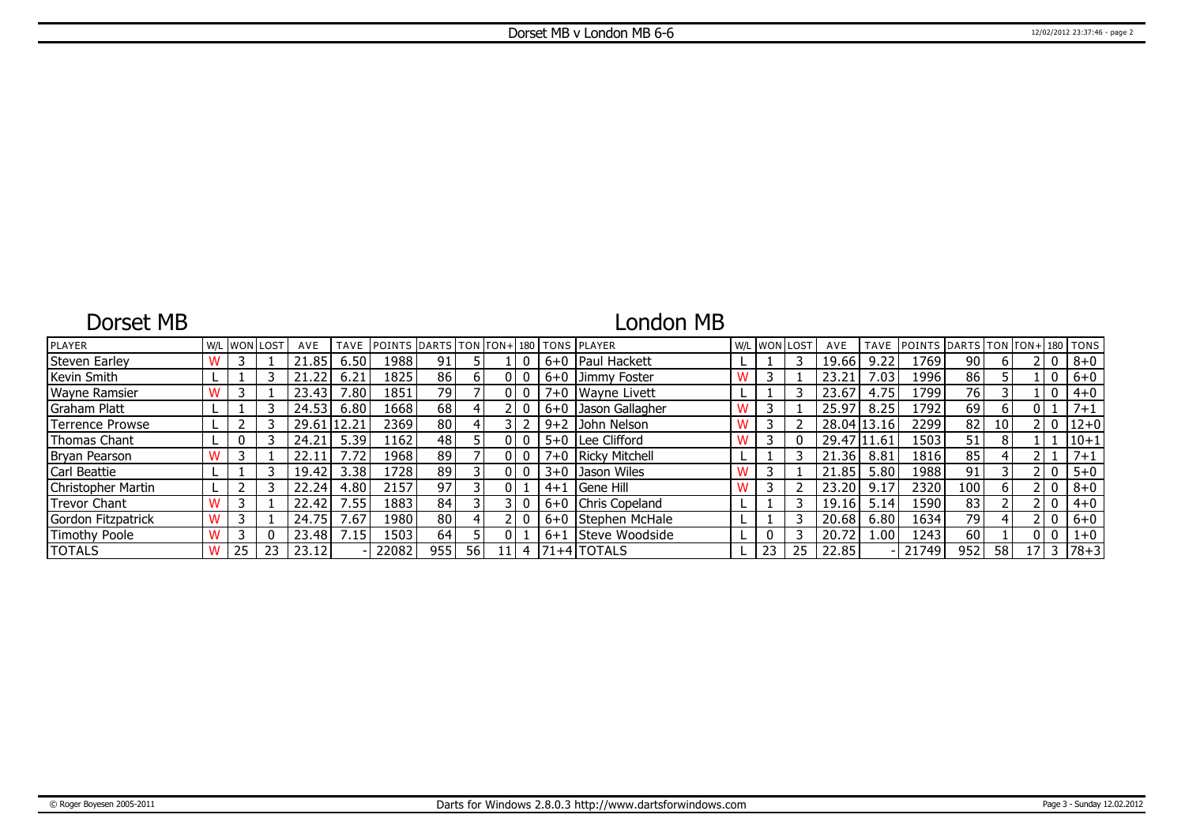## Dorset MB

# London MB

| <b>PLAYER</b>          |  | W/L WON LOST | AVE   | TAVE               | IPOINTS IDARTS ITON ITON+1180 ITONS IPLAYER |     |    |   |         |                      |    | W/L WON LOST | AVE         | <b>TAVE</b> | POINTS DARTS TON TON+180 TONS |                 |    |    |              |          |
|------------------------|--|--------------|-------|--------------------|---------------------------------------------|-----|----|---|---------|----------------------|----|--------------|-------------|-------------|-------------------------------|-----------------|----|----|--------------|----------|
| <b>Steven Earley</b>   |  |              | 21.85 | 6.50               | 1988                                        | 91  |    |   |         | 6+0   Paul Hackett   |    |              | 19.66       | 9.22        | 1769                          | 90              | b  |    | $\mathbf 0$  | $8 + 0$  |
| Kevin Smith            |  |              | 21.22 | 6.21               | 1825                                        | 86  |    |   |         | 6+0 Jimmy Foster     |    |              | 23.21       | .03         | 1996                          | 86              |    |    | 0            | $6+0$    |
| Wayne Ramsier          |  |              | 23.43 | $^{\prime}.80$ $ $ | 1851                                        | 79  |    |   |         | 7+0 Wayne Livett     |    |              | 23.67       | 4.75        | 1799                          | $\overline{76}$ |    |    | 0            | $4 + 0$  |
| Graham Platt           |  |              | 24.53 | 6.80               | 1668                                        | 68  |    |   |         | 6+0 Jason Gallagher  |    |              | 25.97       | 8.25        | 1792                          | 69              | 6  |    |              | $7 + 1$  |
| <b>Terrence Prowse</b> |  |              | 29.61 |                    | 2369                                        | 80  |    |   |         | 9+2 John Nelson      |    |              | 28.04 13.16 |             | 2299                          | 82              | 10 |    | 0            | $12+0$   |
| Thomas Chant           |  |              | 24.21 | 5.39               | 1162                                        | 48  |    |   |         | 5+0   Lee Clifford   |    |              | 29.47 11.61 |             | 1503                          | 51              | 8  |    |              | $10 + 1$ |
| Bryan Pearson          |  |              | 22.1  |                    | 1968                                        | 89  |    |   |         | 7+0   Ricky Mitchell |    |              | 21.36       | 8.81        | 1816                          | 85              |    |    |              | $7 + 1$  |
| Carl Beattie           |  |              | 19.42 | 3.38               | 1728                                        | 89  |    |   |         | 3+0 Jason Wiles      |    |              | 21.85       | 5.80        | 1988                          | 91              |    |    | 0            | $5 + 0$  |
| Christopher Martin     |  |              | 22.24 | 4.80               | 2157                                        | 97  |    |   |         | $4+1$ Gene Hill      |    |              | 23.20       | 9.17        | 2320                          | 100             | 6  |    | $\mathbf{0}$ | $8 + 0$  |
| <b>Trevor Chant</b>    |  |              | 22.42 | .55                | 1883                                        | 84  |    |   |         | 6+0 Chris Copeland   |    |              | 19.16       | 5.14        | 1590                          | 83              |    |    | $\mathbf{0}$ | $4 + 0$  |
| Gordon Fitzpatrick     |  |              | 24.75 | .67                | 1980                                        | 80  |    |   |         | 6+0 Stephen McHale   |    |              | 20.68       | 6.80        | 1634                          | 79              |    |    | $\mathbf{0}$ | $6 + 0$  |
| Timothy Poole          |  |              | 23.48 | 7.15               | 1503                                        | 64  |    |   | $6 + 1$ | Steve Woodside       |    |              | 20.72       | .00.        | 1243                          | 60              |    |    | 0            | $1 + 0$  |
| <b>TOTALS</b>          |  | 23           | 23.12 |                    | 22082                                       | 955 | 56 | 4 |         | $ 71+4 $ TOTALS      | 23 | 25           | 22.85       |             | 21749                         | 952             | 58 | 17 |              | $78 + 3$ |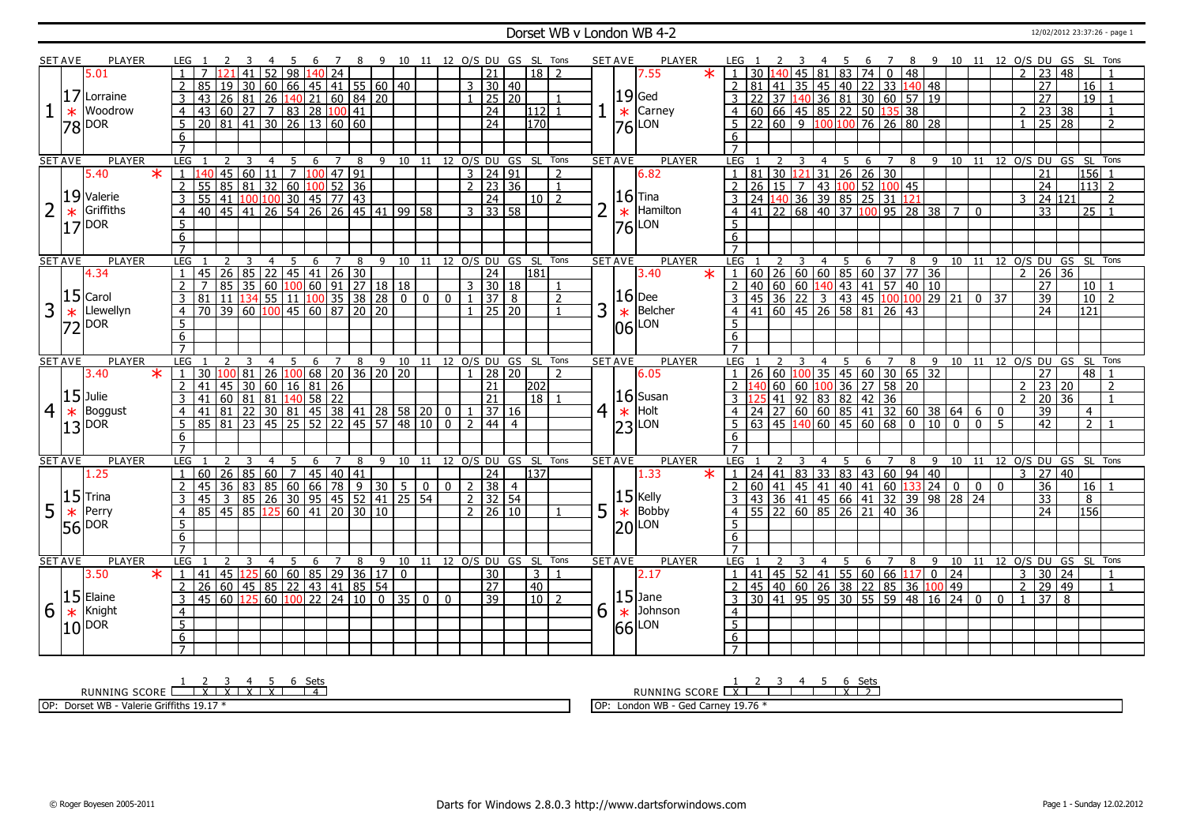### Dorset WB v London WB 4-2 12/02/2012 23:37:26 - page 1

|                | <b>SET AVE</b> | <b>PLAYER</b>           |         | LEG              |                                  |                |                 |                    |                |                | 7              |                                                                                   | 8 9 10 11 12 O/S DU GS SL Tons |                         |                |                |                |                     |                              |                |   | <b>SET AVE</b> | PLAYER              |         | LEG 1                                            |                 |                            |                 |                |      |                                                      | - 6                                             |                |         |     | 7 8 9 10 11 12 O/S DU GS SL Tons                                                                                                                                                                                                     |                |            |      |                |                     |                 |                    |                          |
|----------------|----------------|-------------------------|---------|------------------|----------------------------------|----------------|-----------------|--------------------|----------------|----------------|----------------|-----------------------------------------------------------------------------------|--------------------------------|-------------------------|----------------|----------------|----------------|---------------------|------------------------------|----------------|---|----------------|---------------------|---------|--------------------------------------------------|-----------------|----------------------------|-----------------|----------------|------|------------------------------------------------------|-------------------------------------------------|----------------|---------|-----|--------------------------------------------------------------------------------------------------------------------------------------------------------------------------------------------------------------------------------------|----------------|------------|------|----------------|---------------------|-----------------|--------------------|--------------------------|
|                |                | 5.01                    |         |                  |                                  |                | 41              | 52                 |                | 98 140 24      |                |                                                                                   |                                |                         |                |                |                | 21                  | $18$   2                     |                |   |                | 7.55                | $\star$ | $1 \overline{}30 \overline{140}$                 |                 |                            | 45              |                |      |                                                      | 818374048                                       |                |         |     |                                                                                                                                                                                                                                      |                |            |      | $\mathcal{P}$  | $\overline{23}$     | $ 48\rangle$    |                    |                          |
|                |                |                         |         | $\mathcal{P}$    | 85<br>19                         |                | 30              | 60                 |                |                |                | 66 45 41 55 60 40                                                                 |                                |                         |                |                |                | $3 \mid 30 \mid 40$ |                              |                |   |                |                     |         | $\mathcal{L}$                                    | 81              | 41                         |                 |                |      |                                                      | 35 45 40 22 33 140 48                           |                |         |     |                                                                                                                                                                                                                                      |                |            |      |                | $\overline{27}$     |                 | $\overline{16}$    |                          |
|                |                | 17 Lorraine             |         |                  | $\overline{26}$                  |                | 81              | $\overline{26}$    |                |                |                | 140 21 60 84 20                                                                   |                                |                         |                |                |                | $25 \overline{)20}$ |                              |                |   |                | $ 19 $ Ged          |         |                                                  |                 | $22$ 37 1                  | 40 <sup>1</sup> |                |      |                                                      | 36 81 30 60 57 19                               |                |         |     |                                                                                                                                                                                                                                      |                |            |      |                | $\overline{27}$     |                 | 19                 |                          |
|                |                |                         |         | 3                | 43                               |                |                 |                    |                |                |                |                                                                                   |                                |                         |                |                |                |                     |                              |                |   |                |                     |         |                                                  |                 |                            |                 |                |      |                                                      |                                                 |                |         |     |                                                                                                                                                                                                                                      |                |            |      |                |                     |                 |                    |                          |
|                | $\ast$         | Woodrow                 |         | $\overline{4}$   | 43 60 27                         |                |                 |                    |                |                |                | 7   83   28   100   41                                                            |                                |                         |                |                |                | 24                  | 112                          | $\overline{1}$ |   | $\ast$         | Carney              |         |                                                  |                 |                            |                 |                |      |                                                      | $4   60   66   45   85   22   50   135   38$    |                |         |     |                                                                                                                                                                                                                                      |                |            |      | 2              | 23 38               |                 |                    | $\overline{1}$           |
|                |                | 78 DOR                  |         | 5                | 20 81 41 30 26 13 60 60          |                |                 |                    |                |                |                |                                                                                   |                                |                         |                |                |                | 24                  | 170                          |                |   |                | $ 76 $ LON          |         |                                                  |                 | $5 \mid 22 \mid 60 \mid 9$ |                 |                |      |                                                      | 100 100 76 26 80 28                             |                |         |     |                                                                                                                                                                                                                                      |                |            |      |                | $25 \mid 28$        |                 |                    | $\overline{\phantom{0}}$ |
|                |                |                         |         | 6                |                                  |                |                 |                    |                |                |                |                                                                                   |                                |                         |                |                |                |                     |                              |                |   |                |                     |         | 6                                                |                 |                            |                 |                |      |                                                      |                                                 |                |         |     |                                                                                                                                                                                                                                      |                |            |      |                |                     |                 |                    |                          |
|                |                |                         |         | $\overline{7}$   |                                  |                |                 |                    |                |                |                |                                                                                   |                                |                         |                |                |                |                     |                              |                |   |                |                     |         |                                                  |                 |                            |                 |                |      |                                                      |                                                 |                |         |     |                                                                                                                                                                                                                                      |                |            |      |                |                     |                 |                    |                          |
|                | <b>SET AVE</b> | <b>PLAYER</b>           |         | LEG              |                                  |                | 3               | $\overline{4}$     |                |                |                | 5 6 7 8                                                                           |                                |                         |                |                |                |                     | 9 10 11 12 0/S DU GS SL Tons |                |   | <b>SET AVE</b> | <b>PLAYER</b>       |         | LEG                                              |                 |                            |                 | $\overline{4}$ |      | 5                                                    | 6 7                                             |                |         |     | 8 9 10 11 12 O/S DU GS SL Tons                                                                                                                                                                                                       |                |            |      |                |                     |                 |                    |                          |
|                |                | 5.40                    | $\star$ |                  |                                  | 45 60          |                 | $\vert$ 11 $\vert$ |                |                |                | 7  100  47  91                                                                    |                                |                         |                |                |                | 3   24   91         |                              | $\mathcal{P}$  |   |                | 6.82                |         | $\overline{1}$                                   | $\overline{81}$ |                            | 30 121          |                |      |                                                      | $31 \ 26 \ 26 \ 30$                             |                |         |     |                                                                                                                                                                                                                                      |                |            |      |                | 21                  |                 | $\overline{156}$   |                          |
|                |                |                         |         | $\overline{2}$   |                                  |                |                 |                    |                |                |                | 185 81 32 60 100 52 36<br>41 100 100 30 45 77 43<br>45 41 26 54 26 26 45 41 99 58 |                                |                         |                |                |                | $2 \mid 23 \mid 36$ |                              | $\overline{1}$ |   |                |                     |         | $\overline{2}$                                   | 26              | $15\overline{\smash{7}}$   |                 |                |      |                                                      | 43 100 52 100 45                                |                |         |     |                                                                                                                                                                                                                                      |                |            |      |                | $\overline{24}$     |                 | $\overline{113}$ 2 |                          |
|                |                | 19 Valerie              |         | $\overline{3}$   | 55                               |                |                 |                    |                |                |                |                                                                                   |                                |                         |                |                |                | $\overline{24}$     | $10$   2                     |                |   |                | $16$ Tina           |         |                                                  |                 |                            |                 |                |      |                                                      | $3 \overline{)24}1403639852531121$              |                |         |     |                                                                                                                                                                                                                                      |                |            |      | $\overline{3}$ | 24 121              |                 |                    | $\mathcal{L}$            |
|                | $\ast$         | Griffiths               |         | $\overline{4}$   | 40                               |                |                 |                    |                |                |                |                                                                                   |                                |                         |                |                |                | $3 \mid 33 \mid 58$ |                              |                |   | $\ast$         | Hamilton            |         |                                                  |                 |                            |                 |                |      | $4 \mid 41 \mid 22 \mid 68 \mid 40 \mid 37 \mid 100$ | $\overline{95}$                                 |                | $28$ 38 |     | $\overline{7}$                                                                                                                                                                                                                       | $\Omega$       |            |      |                | 33                  |                 | 25                 |                          |
|                |                | $17$ DOR                |         | $\overline{5}$   |                                  |                |                 |                    |                |                |                |                                                                                   |                                |                         |                |                |                |                     |                              |                |   | 76             | LON                 |         | $5^{\circ}$                                      |                 |                            |                 |                |      |                                                      |                                                 |                |         |     |                                                                                                                                                                                                                                      |                |            |      |                |                     |                 |                    |                          |
|                |                |                         |         | 6                |                                  |                |                 |                    |                |                |                |                                                                                   |                                |                         |                |                |                |                     |                              |                |   |                |                     |         | 6                                                |                 |                            |                 |                |      |                                                      |                                                 |                |         |     |                                                                                                                                                                                                                                      |                |            |      |                |                     |                 |                    |                          |
|                |                |                         |         | $\overline{7}$   |                                  |                |                 |                    |                |                |                |                                                                                   |                                |                         |                |                |                |                     |                              |                |   |                |                     |         | $\overline{z}$                                   |                 |                            |                 |                |      |                                                      |                                                 |                |         |     |                                                                                                                                                                                                                                      |                |            |      |                |                     |                 |                    |                          |
|                | <b>SET AVE</b> | PLAYER                  |         | LEG <sub>1</sub> | $\overline{2}$                   | $\overline{3}$ |                 | $\overline{4}$     | - 5            | - 6            |                | 7 8 9 10 11 12 O/S DU GS SL Tons                                                  |                                |                         |                |                |                |                     |                              |                |   | <b>SET AVE</b> | <b>PLAYER</b>       |         | LEG 1                                            |                 |                            |                 | $\overline{4}$ | $-5$ |                                                      |                                                 |                |         |     | 6 7 8 9 10 11 12 0/S DU GS SL Tons                                                                                                                                                                                                   |                |            |      |                |                     |                 |                    |                          |
|                |                | 4.34                    |         | $\overline{1}$   | <b>26</b><br>45                  |                | $\overline{85}$ | $\overline{22}$    |                |                |                | 45 41 26 30                                                                       |                                |                         |                |                |                | 24                  | 181                          |                |   |                | 3.40                | $\ast$  | $1   60   26   60   60   85   60   37   77   36$ |                 |                            |                 |                |      |                                                      |                                                 |                |         |     |                                                                                                                                                                                                                                      |                |            |      | $\overline{2}$ | $26 \overline{)36}$ |                 |                    |                          |
|                |                |                         |         | $\overline{2}$   | 85                               |                | $\overline{35}$ |                    |                |                |                | 60 100 60 91 27 18 18                                                             |                                |                         |                |                |                | $3 \ 30 \ 18$       |                              |                |   |                |                     |         | $\overline{2}$                                   |                 |                            |                 |                |      |                                                      | $\vert$ 40 60 60 140 43 41 57 40 10             |                |         |     |                                                                                                                                                                                                                                      |                |            |      |                | $\overline{27}$     |                 | 10 <sup>1</sup>    |                          |
|                |                | $15$ Carol              |         |                  | 11                               |                | 134             | 55                 |                |                |                | $11 \mid 100 \mid 35 \mid 38 \mid 28 \mid 0 \mid 0$                               |                                |                         |                | $\mathbf{0}$   |                | $1 \mid 37 \mid 8$  |                              | $\overline{2}$ |   |                | $ 16 $ Dee          |         |                                                  |                 |                            |                 |                |      |                                                      |                                                 |                |         |     | $145$   36   22   3   43   45   100   100   29   21   0   37                                                                                                                                                                         |                |            |      |                | $\overline{39}$     |                 | 10                 | $\overline{z}$           |
| 3              |                | Llewellyn               |         |                  | 70                               |                |                 |                    |                |                |                | 39 60 100 45 60 87 20 20                                                          |                                |                         |                |                |                | 25   20             |                              |                | 3 |                | Belcher             |         |                                                  |                 |                            |                 |                |      |                                                      | $141$ 60 45 26 58 81 26 43                      |                |         |     |                                                                                                                                                                                                                                      |                |            |      |                | $\overline{24}$     |                 | 121                |                          |
|                | $\ast$         |                         |         | $\overline{4}$   |                                  |                |                 |                    |                |                |                |                                                                                   |                                |                         |                |                |                |                     |                              |                |   | $\ast$         |                     |         | $\overline{4}$                                   |                 |                            |                 |                |      |                                                      |                                                 |                |         |     |                                                                                                                                                                                                                                      |                |            |      |                |                     |                 |                    |                          |
|                |                | $72$ $\overline{)}$ DOR |         | 5                |                                  |                |                 |                    |                |                |                |                                                                                   |                                |                         |                |                |                |                     |                              |                |   | 06             | LON                 |         | .5                                               |                 |                            |                 |                |      |                                                      |                                                 |                |         |     |                                                                                                                                                                                                                                      |                |            |      |                |                     |                 |                    |                          |
|                |                |                         |         | 6                |                                  |                |                 |                    |                |                |                |                                                                                   |                                |                         |                |                |                |                     |                              |                |   |                |                     |         | 6                                                |                 |                            |                 |                |      |                                                      |                                                 |                |         |     |                                                                                                                                                                                                                                      |                |            |      |                |                     |                 |                    |                          |
|                |                |                         |         | $\overline{7}$   |                                  |                |                 |                    |                |                |                |                                                                                   |                                |                         |                |                |                |                     |                              |                |   |                |                     |         | $\overline{7}$                                   |                 |                            |                 |                |      |                                                      |                                                 |                |         |     |                                                                                                                                                                                                                                      |                |            |      |                |                     |                 |                    |                          |
|                |                |                         |         |                  |                                  |                |                 |                    |                |                |                |                                                                                   |                                |                         |                |                |                |                     |                              |                |   |                |                     |         |                                                  |                 |                            |                 |                |      |                                                      |                                                 |                |         |     |                                                                                                                                                                                                                                      |                |            |      |                |                     |                 |                    |                          |
|                | <b>SET AVE</b> | <b>PLAYER</b>           |         | LEG              |                                  |                |                 | 4                  | 5              | 6              | $7^{\circ}$    | 8                                                                                 |                                |                         |                |                |                |                     | 9 10 11 12 O/S DU GS SL Tons |                |   | <b>SET AVE</b> | <b>PLAYER</b>       |         | LEG                                              |                 |                            |                 | 4              |      | 5                                                    | 6                                               | 7              | 8       |     | 9 10 11                                                                                                                                                                                                                              |                |            |      |                | 12 O/S DU GS SL     |                 |                    | Tons                     |
|                |                | 3.40                    | $\ast$  | $\overline{1}$   | 30                               |                | $\overline{81}$ | $\overline{26}$    |                |                |                | <mark>100</mark> 68 20 36 20 20                                                   |                                |                         |                |                |                | 28 20               |                              | $\mathcal{L}$  |   |                | 6.05                |         | $\overline{1}$                                   | $\overline{26}$ | 60 100                     |                 |                |      |                                                      | 35   45   60   30   65   32                     |                |         |     |                                                                                                                                                                                                                                      |                |            |      |                | 27                  |                 | 48                 |                          |
|                |                |                         |         | $\overline{2}$   | 41                               | 45 30          |                 | $\boxed{60}$       |                | 16 81 26       |                |                                                                                   |                                |                         |                |                |                | $\overline{21}$     | 202                          |                |   |                |                     |         | 2 <sub>1</sub>                                   |                 |                            |                 |                |      |                                                      | <u>  40   60   60   100   36   27   58   20</u> |                |         |     |                                                                                                                                                                                                                                      |                |            |      | $\overline{2}$ | 23                  | $ 20\rangle$    |                    | $\mathcal{D}$            |
|                |                | $15$ Julie              |         | 3                | 60<br>41                         |                | $\overline{81}$ | 81                 | 140            |                | 58 22          |                                                                                   |                                |                         |                |                |                | $\overline{21}$     | 18                           |                |   |                | $ 16 $ Susan        |         | 3                                                |                 |                            |                 |                |      |                                                      | 41 92 83 82 42 36                               |                |         |     |                                                                                                                                                                                                                                      |                |            |      | $\overline{2}$ | 20                  | 36              |                    |                          |
| $\overline{4}$ | $\ast$         | Boggust                 |         | $\overline{4}$   | 81<br>41                         |                | 22              | 30                 |                |                |                | 81 45 38 41 28 58 20 0                                                            |                                |                         |                |                |                | 37 16               |                              |                | 4 | $\ast$         | Holt                |         |                                                  |                 |                            |                 |                |      |                                                      |                                                 |                |         |     | $4$   24   27   60   60   85   41   32   60   38   64   6   0                                                                                                                                                                        |                |            |      |                | $\overline{39}$     |                 | $\overline{4}$     |                          |
|                |                |                         |         | 5 <sup>5</sup>   | 181 I<br>85                      |                | 23              | 45                 |                |                |                | 25 52 22 45 57 48 10                                                              |                                |                         |                | $\Omega$       | $\overline{2}$ | 44   4              |                              |                |   |                |                     |         |                                                  |                 |                            |                 |                |      |                                                      |                                                 |                |         |     | 100                                                                                                                                                                                                                                  |                | $0 \mid 5$ |      |                | 42                  |                 | $\overline{2}$     |                          |
|                |                | $ 13 ^{DOR}$            |         | 6                |                                  |                |                 |                    |                |                |                |                                                                                   |                                |                         |                |                |                |                     |                              |                |   |                | $ 23 $ LON          |         | 6                                                |                 |                            |                 |                |      |                                                      |                                                 |                |         |     |                                                                                                                                                                                                                                      |                |            |      |                |                     |                 |                    |                          |
|                |                |                         |         | $\overline{7}$   |                                  |                |                 |                    |                |                |                |                                                                                   |                                |                         |                |                |                |                     |                              |                |   |                |                     |         |                                                  |                 |                            |                 |                |      |                                                      |                                                 |                |         |     |                                                                                                                                                                                                                                      |                |            |      |                |                     |                 |                    |                          |
|                | <b>SET AVE</b> | <b>PLAYER</b>           |         | LEG              |                                  |                |                 | $\overline{4}$     |                | -6             |                | 8                                                                                 |                                | 9 10 11 12 0/S DU GS SL |                |                |                |                     |                              | Tons           |   | <b>SET AVE</b> | <b>PLAYER</b>       |         | LEG                                              |                 |                            |                 |                |      |                                                      | 6                                               | $\overline{7}$ | 8       | - 9 | 10 11 12 0/S DU GS SL Tons                                                                                                                                                                                                           |                |            |      |                |                     |                 |                    |                          |
|                |                | 1.25                    |         |                  | 60<br>26                         |                | 85              | 60                 | 7 <sup>1</sup> |                |                | 45   40   41                                                                      |                                |                         |                |                |                | $\overline{24}$     | 137                          |                |   |                | 1.33                |         | $1 \mid 24$                                      |                 | 41                         | 83              |                |      |                                                      | 33   83   43   60   94   40                     |                |         |     |                                                                                                                                                                                                                                      |                |            |      | 3              | 27 40               |                 |                    |                          |
|                |                |                         |         | $\overline{2}$   | 36<br>45                         |                |                 |                    |                | 83 85 60 66 78 |                |                                                                                   | $9 \mid 30 \mid$               | 5 <sub>1</sub>          | $\overline{0}$ | 0 <sup>1</sup> |                | 2 38 4              |                              |                |   |                |                     |         | 2   60   41                                      |                 |                            |                 |                |      |                                                      |                                                 |                |         |     | $45 \mid 41 \mid 40 \mid 41 \mid 60 \mid 133 \mid 24 \mid 0$                                                                                                                                                                         | $\overline{0}$ | l 0        |      |                | 36                  |                 | 16                 |                          |
|                |                | $ 15 $ Trina            |         | 3                | 45                               |                |                 |                    |                |                |                | 3   85   26   30   95   45   52   41   25   54                                    |                                |                         |                |                |                | $2 \mid 32 \mid 54$ |                              |                |   |                |                     |         | 3                                                |                 |                            |                 |                |      |                                                      |                                                 |                |         |     | 43   36   41   45   66   41   32   39   98   28   24                                                                                                                                                                                 |                |            |      |                | 33                  |                 | 8                  |                          |
|                |                | Perry                   |         | $\overline{4}$   |                                  |                |                 |                    |                |                |                | 45 85 125 60 41 20 30 10                                                          |                                |                         |                |                |                | $2 \mid 26 \mid 10$ |                              | $\mathbf{1}$   |   |                | $15$ Kelly<br>Bobby |         |                                                  |                 |                            |                 |                |      |                                                      | 4 55 22 60 85 26 21 40 36                       |                |         |     |                                                                                                                                                                                                                                      |                |            |      |                | 24                  |                 | 156                |                          |
| 5              | $\ast$         |                         |         | 5                |                                  |                |                 |                    |                |                |                |                                                                                   |                                |                         |                |                |                |                     |                              |                | 5 | $\ast$         |                     |         | $\overline{5}$                                   |                 |                            |                 |                |      |                                                      |                                                 |                |         |     |                                                                                                                                                                                                                                      |                |            |      |                |                     |                 |                    |                          |
|                |                | 56 DOR                  |         | 6                |                                  |                |                 |                    |                |                |                |                                                                                   |                                |                         |                |                |                |                     |                              |                |   |                | $20$ LON            |         | 6                                                |                 |                            |                 |                |      |                                                      |                                                 |                |         |     |                                                                                                                                                                                                                                      |                |            |      |                |                     |                 |                    |                          |
|                |                |                         |         | $\overline{7}$   |                                  |                |                 |                    |                |                |                |                                                                                   |                                |                         |                |                |                |                     |                              |                |   |                |                     |         | $\overline{7}$                                   |                 |                            |                 |                |      |                                                      |                                                 |                |         |     |                                                                                                                                                                                                                                      |                |            |      |                |                     |                 |                    |                          |
|                | <b>SET AVE</b> | <b>PLAYER</b>           |         | LEG              | $\overline{2}$                   |                | 3               | $\overline{4}$     | 5              |                | $\overline{7}$ |                                                                                   |                                |                         |                |                |                |                     |                              |                |   | <b>SET AVE</b> | <b>PLAYER</b>       |         | LEG                                              |                 |                            |                 | $\overline{4}$ | - 5  |                                                      | 6                                               |                |         |     |                                                                                                                                                                                                                                      |                |            |      |                |                     |                 |                    |                          |
|                |                | 3.50                    | $\ast$  | $\mathbf{1}$     | 41                               | 45 125         |                 |                    |                | 6              |                |                                                                                   | 8 9 10 11 12 0/S DU GS SL Tons |                         |                |                |                | 30                  | $\overline{3}$               |                |   |                | 2.17                |         |                                                  |                 |                            |                 |                |      |                                                      |                                                 | 7 8            |         |     | 9 10 11 12 0/S DU GS SL Tons                                                                                                                                                                                                         |                |            |      | $\overline{3}$ | 30   24             |                 |                    |                          |
|                |                |                         |         |                  |                                  |                |                 |                    |                |                |                | 60   60   85   29   36   17   0                                                   |                                |                         |                |                |                |                     |                              |                |   |                |                     |         |                                                  |                 |                            |                 |                |      |                                                      |                                                 |                |         |     | $1   41   45   52   41   55   60   66   117   0   24$                                                                                                                                                                                |                |            |      |                |                     |                 |                    | $\mathbf{1}$             |
|                |                |                         |         | $\overline{2}$   | 26                               |                |                 |                    |                |                |                | 60 45 85 22 43 41 85 54                                                           |                                |                         |                | $\Omega$       |                | $\overline{27}$     | 40<br>10 <sup>2</sup>        |                |   |                |                     |         | 2                                                |                 |                            |                 |                |      |                                                      |                                                 |                |         |     | 45   40   60   26   38   22   85   36   100   49                                                                                                                                                                                     |                |            | l 1. | 2              | $\overline{29}$     | $\overline{49}$ |                    |                          |
|                |                | $ 15 $ Elaine           |         | 3                | 45 60 125 60 100 22 24 10 0 35 0 |                |                 |                    |                |                |                |                                                                                   |                                |                         |                |                |                | $\overline{39}$     |                              |                |   |                | $ 15 $ Jane         |         |                                                  |                 |                            |                 |                |      |                                                      |                                                 |                |         |     | $\overline{3}$   $\overline{30}$   $\overline{41}$   $\overline{95}$   $\overline{95}$   $\overline{30}$   $\overline{55}$   $\overline{59}$   $\overline{48}$   $\overline{16}$   $\overline{24}$   $\overline{0}$   $\overline{0}$ |                |            |      |                | $37$ 8              |                 |                    |                          |
| 6              | $\ast$         | Knight                  |         | $\overline{4}$   |                                  |                |                 |                    |                |                |                |                                                                                   |                                |                         |                |                |                |                     |                              |                | 6 | $\ast$         | Johnson             |         | $\overline{4}$                                   |                 |                            |                 |                |      |                                                      |                                                 |                |         |     |                                                                                                                                                                                                                                      |                |            |      |                |                     |                 |                    |                          |
|                |                | $10$ <sup>DOR</sup>     |         | $\overline{5}$   |                                  |                |                 |                    |                |                |                |                                                                                   |                                |                         |                |                |                |                     |                              |                |   | 66             | LON                 |         | $\overline{5}$                                   |                 |                            |                 |                |      |                                                      |                                                 |                |         |     |                                                                                                                                                                                                                                      |                |            |      |                |                     |                 |                    |                          |
|                |                |                         |         | 6<br>$7^{\circ}$ |                                  |                |                 |                    |                |                |                |                                                                                   |                                |                         |                |                |                |                     |                              |                |   |                |                     |         | $6\overline{6}$<br>$7^{\circ}$                   |                 |                            |                 |                |      |                                                      |                                                 |                |         |     |                                                                                                                                                                                                                                      |                |            |      |                |                     |                 |                    |                          |

RUNNING SCORE <u>| X | X | X | X | X | 4</u><br>RUNNING SCORE <u>| X | X | X | X | X | 4</u>

OP: Dorset WB - Valerie Griffiths 19.17 \*

RUNNING SCORE <u>| 2 3 4 5 6 Sets</u><br>| 2 3 4 5 6 Sets

OP: London WB - Ged Carney 19.76 \*